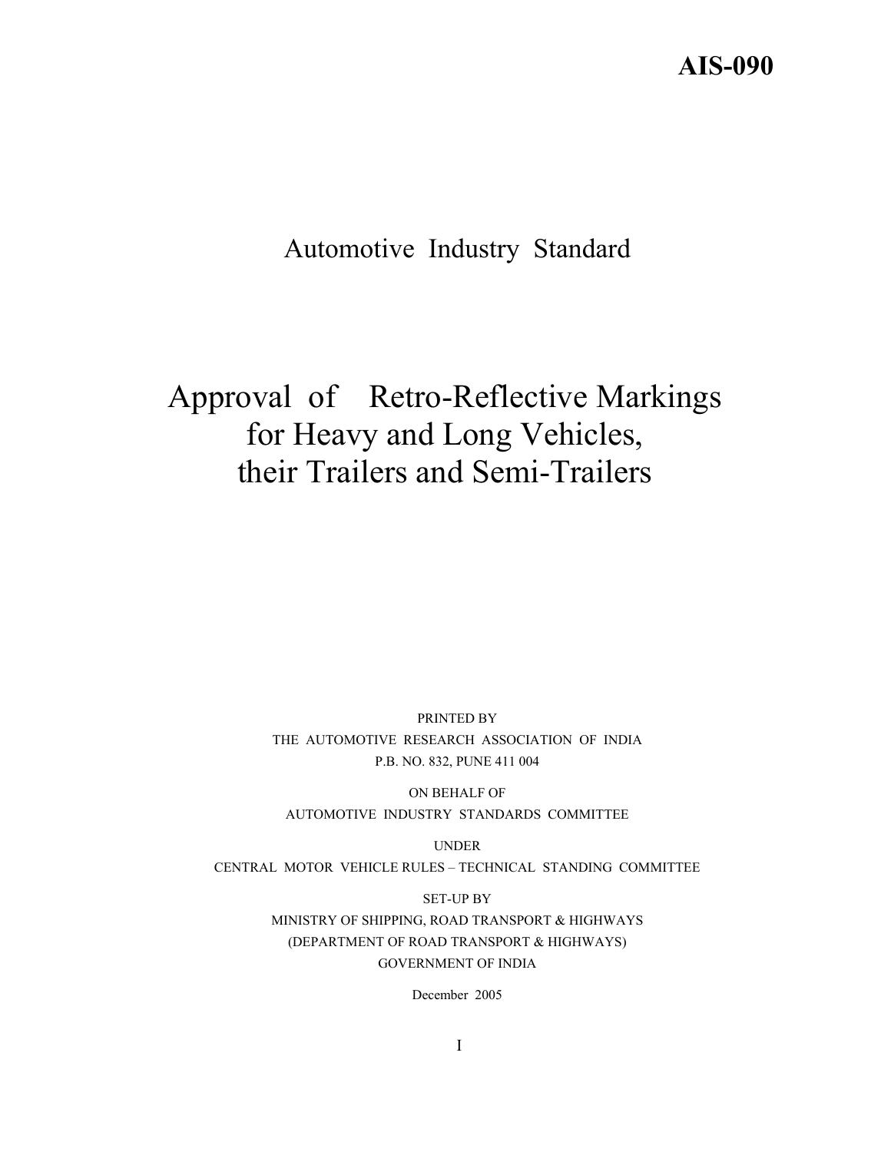# **AIS-090**

# Automotive Industry Standard

# Approval of Retro-Reflective Markings for Heavy and Long Vehicles, their Trailers and Semi-Trailers

PRINTED BY THE AUTOMOTIVE RESEARCH ASSOCIATION OF INDIA P.B. NO. 832, PUNE 411 004

ON BEHALF OF AUTOMOTIVE INDUSTRY STANDARDS COMMITTEE

UNDER CENTRAL MOTOR VEHICLE RULES – TECHNICAL STANDING COMMITTEE

> SET-UP BY MINISTRY OF SHIPPING, ROAD TRANSPORT & HIGHWAYS (DEPARTMENT OF ROAD TRANSPORT & HIGHWAYS) GOVERNMENT OF INDIA

> > December 2005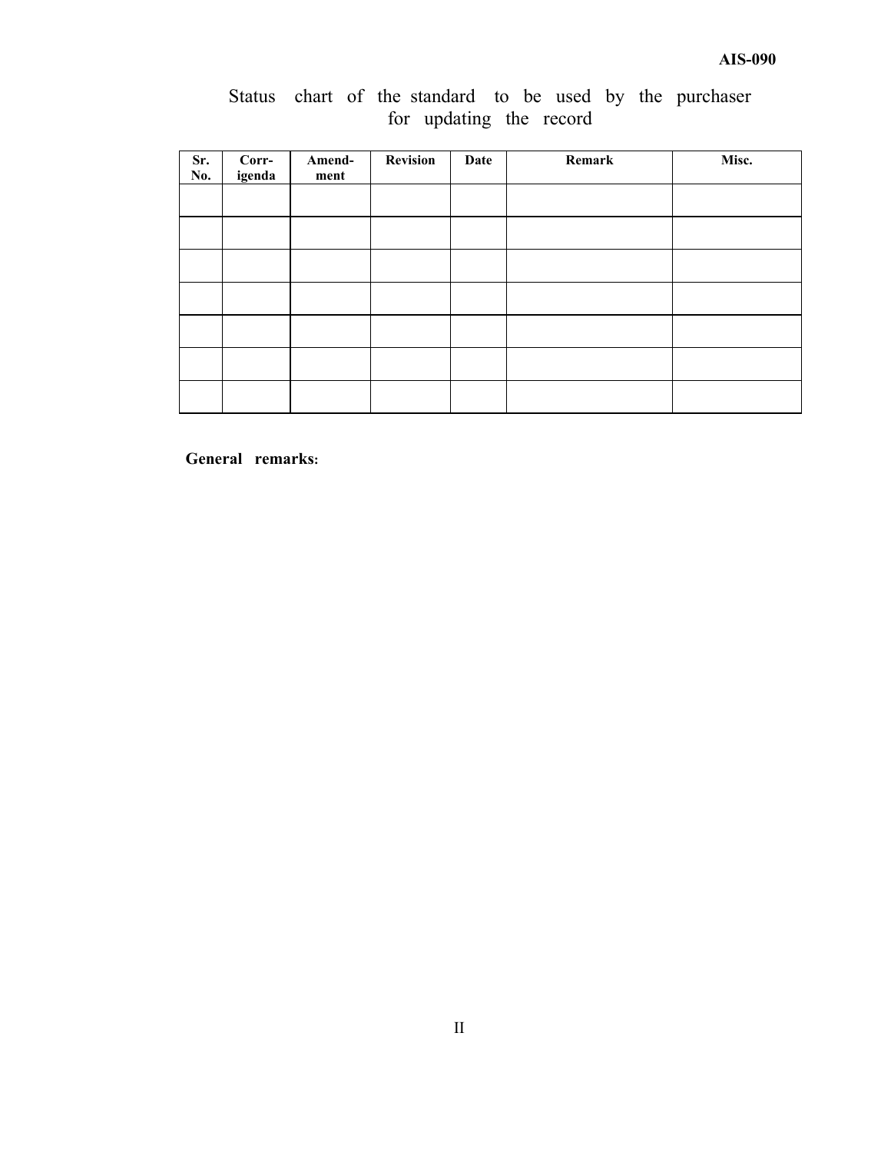|  |  |                         |  |  | Status chart of the standard to be used by the purchaser |
|--|--|-------------------------|--|--|----------------------------------------------------------|
|  |  | for updating the record |  |  |                                                          |

| Sr.<br>No. | Corr-<br>igenda | Amend-<br>ment | <b>Revision</b> | Date | Remark | Misc. |
|------------|-----------------|----------------|-----------------|------|--------|-------|
|            |                 |                |                 |      |        |       |
|            |                 |                |                 |      |        |       |
|            |                 |                |                 |      |        |       |
|            |                 |                |                 |      |        |       |
|            |                 |                |                 |      |        |       |
|            |                 |                |                 |      |        |       |
|            |                 |                |                 |      |        |       |

**General remarks:**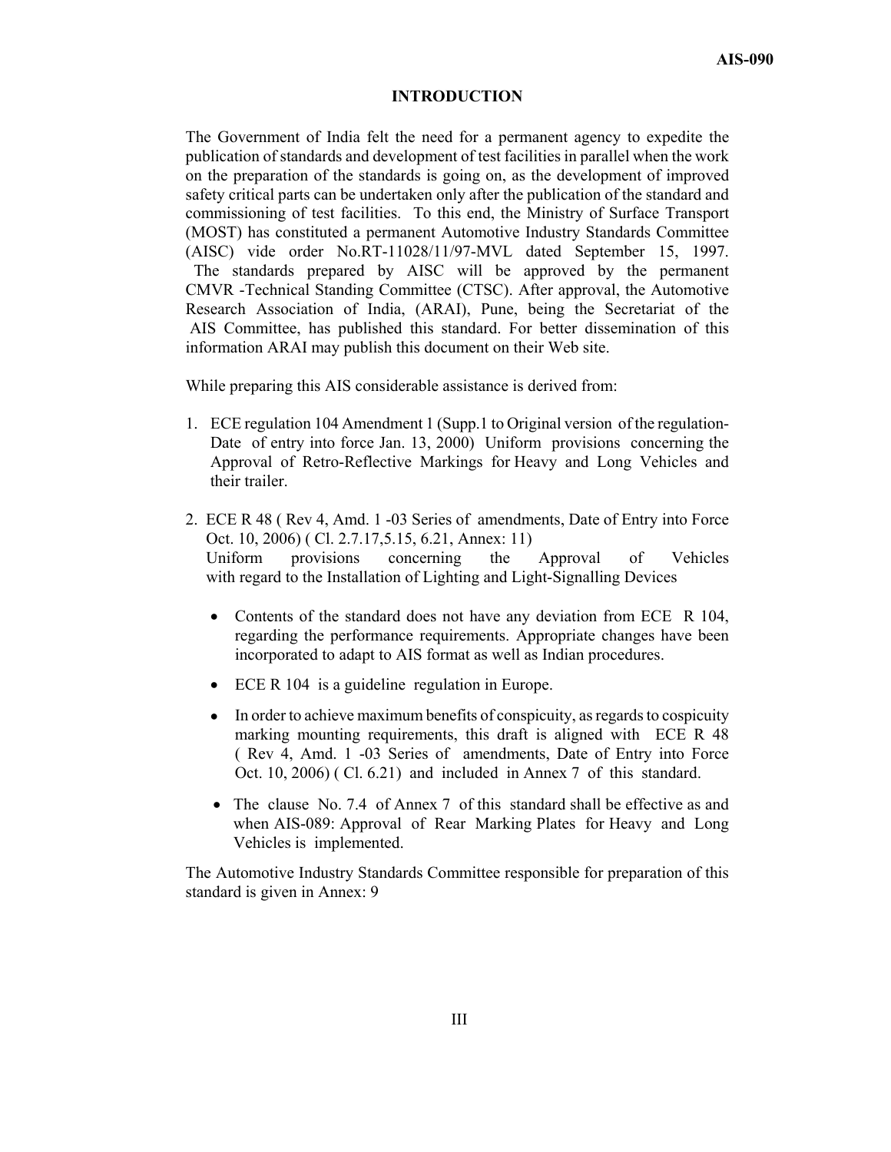#### **INTRODUCTION**

The Government of India felt the need for a permanent agency to expedite the publication of standards and development of test facilities in parallel when the work on the preparation of the standards is going on, as the development of improved safety critical parts can be undertaken only after the publication of the standard and commissioning of test facilities. To this end, the Ministry of Surface Transport (MOST) has constituted a permanent Automotive Industry Standards Committee (AISC) vide order No.RT-11028/11/97-MVL dated September 15, 1997. The standards prepared by AISC will be approved by the permanent CMVR -Technical Standing Committee (CTSC). After approval, the Automotive Research Association of India, (ARAI), Pune, being the Secretariat of the AIS Committee, has published this standard. For better dissemination of this information ARAI may publish this document on their Web site.

While preparing this AIS considerable assistance is derived from:

- 1. ECE regulation 104 Amendment 1 (Supp.1 to Original version of the regulation-Date of entry into force Jan. 13, 2000) Uniform provisions concerning the Approval of Retro-Reflective Markings for Heavy and Long Vehicles and their trailer.
- 2. ECE R 48 ( Rev 4, Amd. 1 -03 Series of amendments, Date of Entry into Force Oct. 10, 2006) ( Cl. 2.7.17,5.15, 6.21, Annex: 11) Uniform provisions concerning the Approval of Vehicles with regard to the Installation of Lighting and Light-Signalling Devices
	- Contents of the standard does not have any deviation from ECE R 104, regarding the performance requirements. Appropriate changes have been incorporated to adapt to AIS format as well as Indian procedures.
	- ECE R 104 is a guideline regulation in Europe.
	- In order to achieve maximum benefits of conspicuity, as regards to cospicuity marking mounting requirements, this draft is aligned with ECE R 48 ( Rev 4, Amd. 1 -03 Series of amendments, Date of Entry into Force Oct. 10, 2006) ( Cl. 6.21) and included in Annex 7 of this standard.
	- The clause No. 7.4 of Annex 7 of this standard shall be effective as and when AIS-089: Approval of Rear Marking Plates for Heavy and Long Vehicles is implemented.

The Automotive Industry Standards Committee responsible for preparation of this standard is given in Annex: 9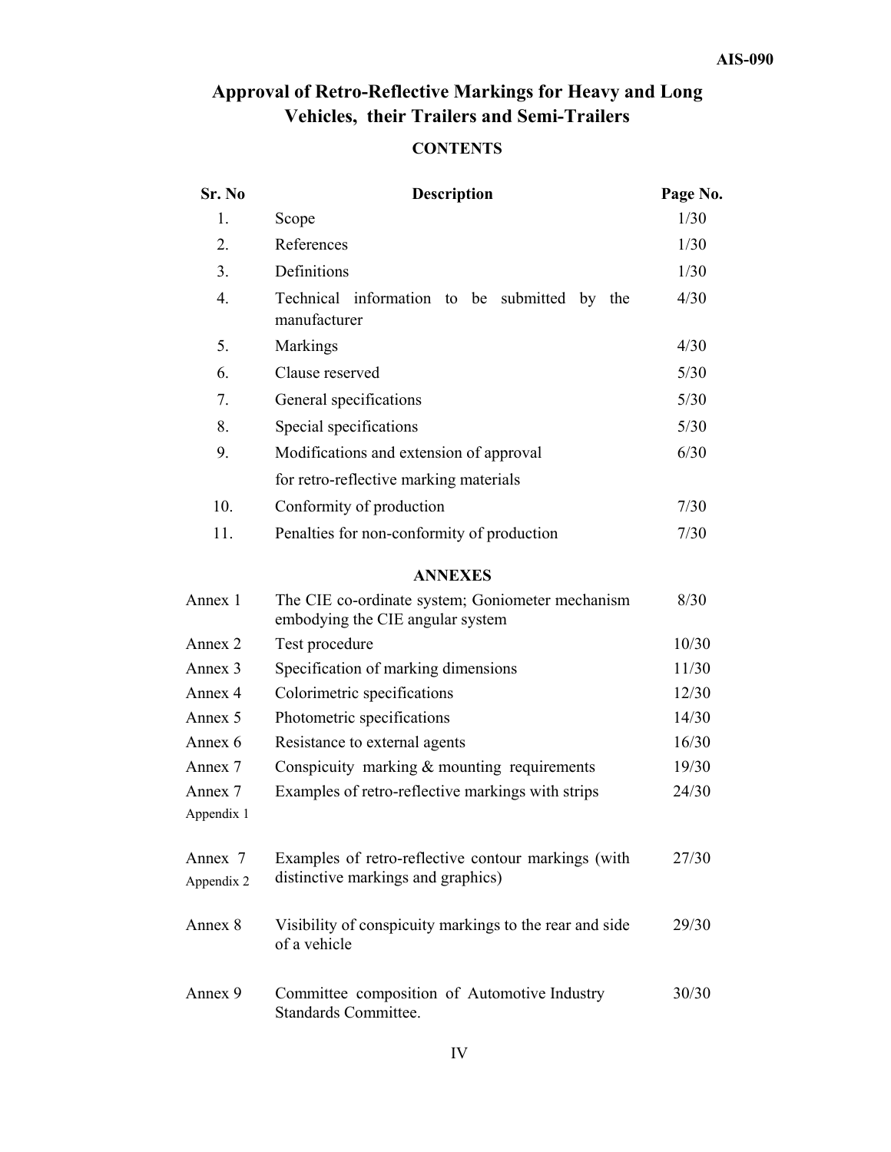# **Approval of Retro-Reflective Markings for Heavy and Long Vehicles, their Trailers and Semi-Trailers**

# **CONTENTS**

| Sr. No                | <b>Description</b>                                                                        |        |  |  |  |  |
|-----------------------|-------------------------------------------------------------------------------------------|--------|--|--|--|--|
| 1.                    | Scope                                                                                     | 1/30   |  |  |  |  |
| 2.                    | References                                                                                | 1/30   |  |  |  |  |
| 3.                    | Definitions                                                                               | 1/30   |  |  |  |  |
| $\overline{4}$ .      | Technical information to be submitted by the<br>manufacturer                              | 4/30   |  |  |  |  |
| 5.                    | Markings                                                                                  | 4/30   |  |  |  |  |
| 6.                    | Clause reserved                                                                           | 5/30   |  |  |  |  |
| 7.                    | General specifications                                                                    | 5/30   |  |  |  |  |
| 8.                    | Special specifications                                                                    | $5/30$ |  |  |  |  |
| 9.                    | Modifications and extension of approval                                                   | 6/30   |  |  |  |  |
|                       | for retro-reflective marking materials                                                    |        |  |  |  |  |
| 10.                   | Conformity of production                                                                  | 7/30   |  |  |  |  |
| 11.                   | Penalties for non-conformity of production                                                | 7/30   |  |  |  |  |
|                       | <b>ANNEXES</b>                                                                            |        |  |  |  |  |
| Annex 1               | The CIE co-ordinate system; Goniometer mechanism<br>embodying the CIE angular system      | 8/30   |  |  |  |  |
| Annex 2               | Test procedure                                                                            | 10/30  |  |  |  |  |
| Annex 3               | Specification of marking dimensions                                                       | 11/30  |  |  |  |  |
| Annex 4               | Colorimetric specifications                                                               | 12/30  |  |  |  |  |
| Annex 5               | Photometric specifications                                                                | 14/30  |  |  |  |  |
| Annex 6               | Resistance to external agents                                                             | 16/30  |  |  |  |  |
| Annex 7               | Conspicuity marking $&$ mounting requirements                                             | 19/30  |  |  |  |  |
| Annex 7<br>Appendix 1 | Examples of retro-reflective markings with strips                                         | 24/30  |  |  |  |  |
| Annex 7<br>Appendix 2 | Examples of retro-reflective contour markings (with<br>distinctive markings and graphics) | 27/30  |  |  |  |  |
| Annex 8               | Visibility of conspicuity markings to the rear and side<br>of a vehicle                   | 29/30  |  |  |  |  |
| Annex 9               | Committee composition of Automotive Industry<br>Standards Committee.                      |        |  |  |  |  |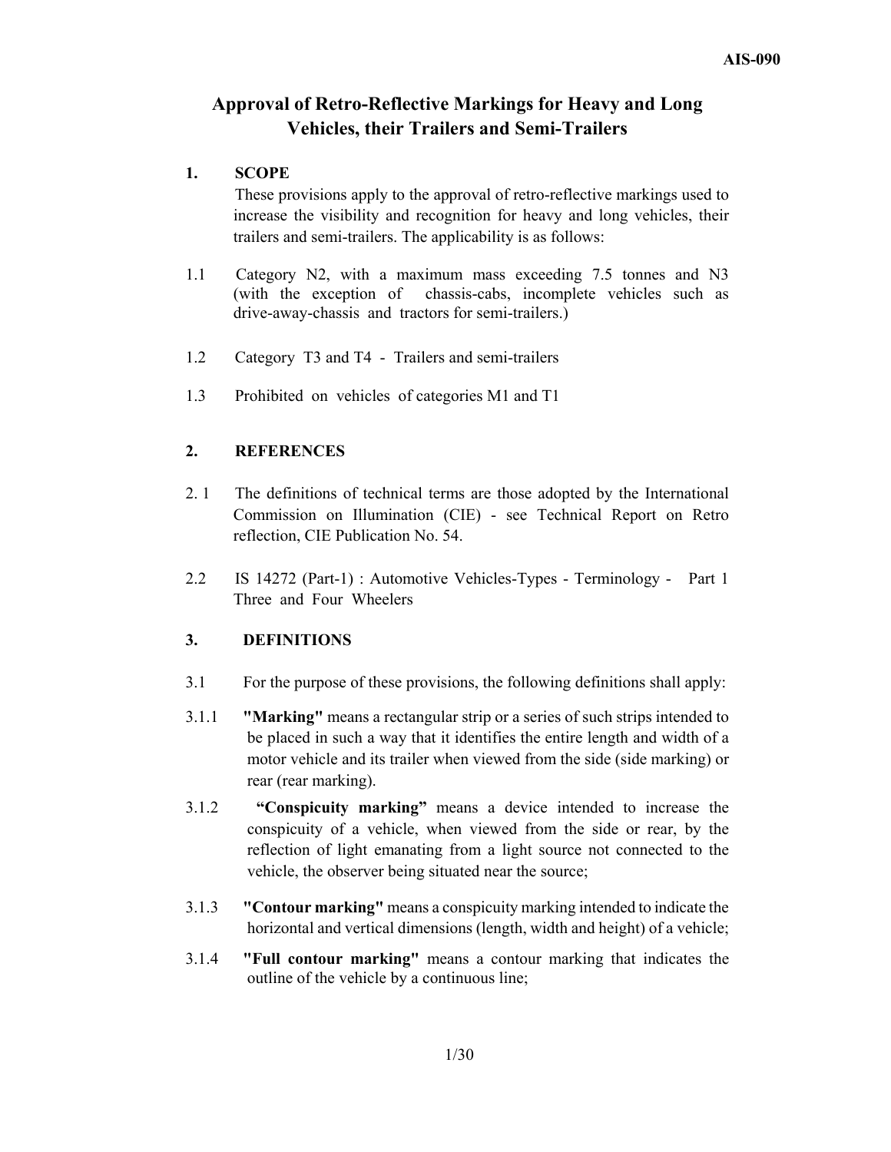# **Approval of Retro-Reflective Markings for Heavy and Long Vehicles, their Trailers and Semi-Trailers**

## **1. SCOPE**

 These provisions apply to the approval of retro-reflective markings used to increase the visibility and recognition for heavy and long vehicles, their trailers and semi-trailers. The applicability is as follows:

- 1.1 Category N2, with a maximum mass exceeding 7.5 tonnes and N3 (with the exception of chassis-cabs, incomplete vehicles such as drive-away-chassis and tractors for semi-trailers.)
- 1.2 Category T3 and T4 Trailers and semi-trailers
- 1.3 Prohibited on vehicles of categories M1 and T1

## **2. REFERENCES**

- 2. 1 The definitions of technical terms are those adopted by the International Commission on Illumination (CIE) - see Technical Report on Retro reflection, CIE Publication No. 54.
- 2.2 IS 14272 (Part-1) : Automotive Vehicles-Types Terminology Part 1 Three and Four Wheelers

## **3. DEFINITIONS**

- 3.1 For the purpose of these provisions, the following definitions shall apply:
- 3.1.1 **"Marking"** means a rectangular strip or a series of such strips intended to be placed in such a way that it identifies the entire length and width of a motor vehicle and its trailer when viewed from the side (side marking) or rear (rear marking).
- 3.1.2 **"Conspicuity marking"** means a device intended to increase the conspicuity of a vehicle, when viewed from the side or rear, by the reflection of light emanating from a light source not connected to the vehicle, the observer being situated near the source;
- 3.1.3 **"Contour marking"** means a conspicuity marking intended to indicate the horizontal and vertical dimensions (length, width and height) of a vehicle;
- 3.1.4 **"Full contour marking"** means a contour marking that indicates the outline of the vehicle by a continuous line;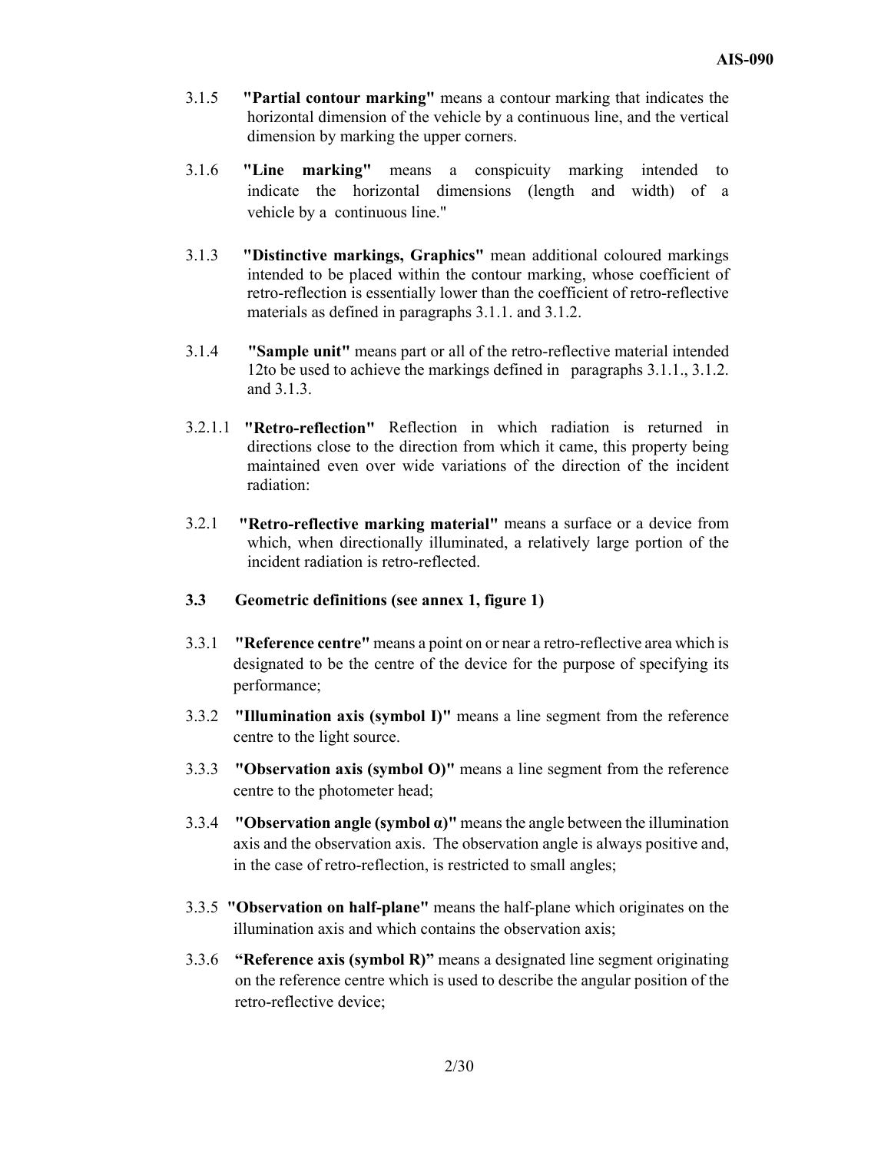- 3.1.5 **"Partial contour marking"** means a contour marking that indicates the horizontal dimension of the vehicle by a continuous line, and the vertical dimension by marking the upper corners.
- 3.1.6 **"Line marking"** means a conspicuity marking intended to indicate the horizontal dimensions (length and width) of a vehicle by a continuous line."
- 3.1.3 **"Distinctive markings, Graphics"** mean additional coloured markings intended to be placed within the contour marking, whose coefficient of retro-reflection is essentially lower than the coefficient of retro-reflective materials as defined in paragraphs 3.1.1. and 3.1.2.
- 3.1.4 **"Sample unit"** means part or all of the retro-reflective material intended 12to be used to achieve the markings defined in paragraphs 3.1.1., 3.1.2. and 3.1.3.
- 3.2.1.1 **"Retro-reflection"** Reflection in which radiation is returned in directions close to the direction from which it came, this property being maintained even over wide variations of the direction of the incident radiation:
- 3.2.1 **"Retro-reflective marking material"** means a surface or a device from which, when directionally illuminated, a relatively large portion of the incident radiation is retro-reflected.
- **3.3 Geometric definitions (see annex 1, figure 1)**
- 3.3.1 **"Reference centre"** means a point on or near a retro-reflective area which is designated to be the centre of the device for the purpose of specifying its performance;
- 3.3.2 **"Illumination axis (symbol I)"** means a line segment from the reference centre to the light source.
- 3.3.3 **"Observation axis (symbol O)"** means a line segment from the reference centre to the photometer head;
- 3.3.4 **"Observation angle (symbol α)"** means the angle between the illumination axis and the observation axis. The observation angle is always positive and, in the case of retro-reflection, is restricted to small angles;
- 3.3.5 **"Observation on half-plane"** means the half-plane which originates on the illumination axis and which contains the observation axis;
- 3.3.6 **"Reference axis (symbol R)"** means a designated line segment originating on the reference centre which is used to describe the angular position of the retro-reflective device;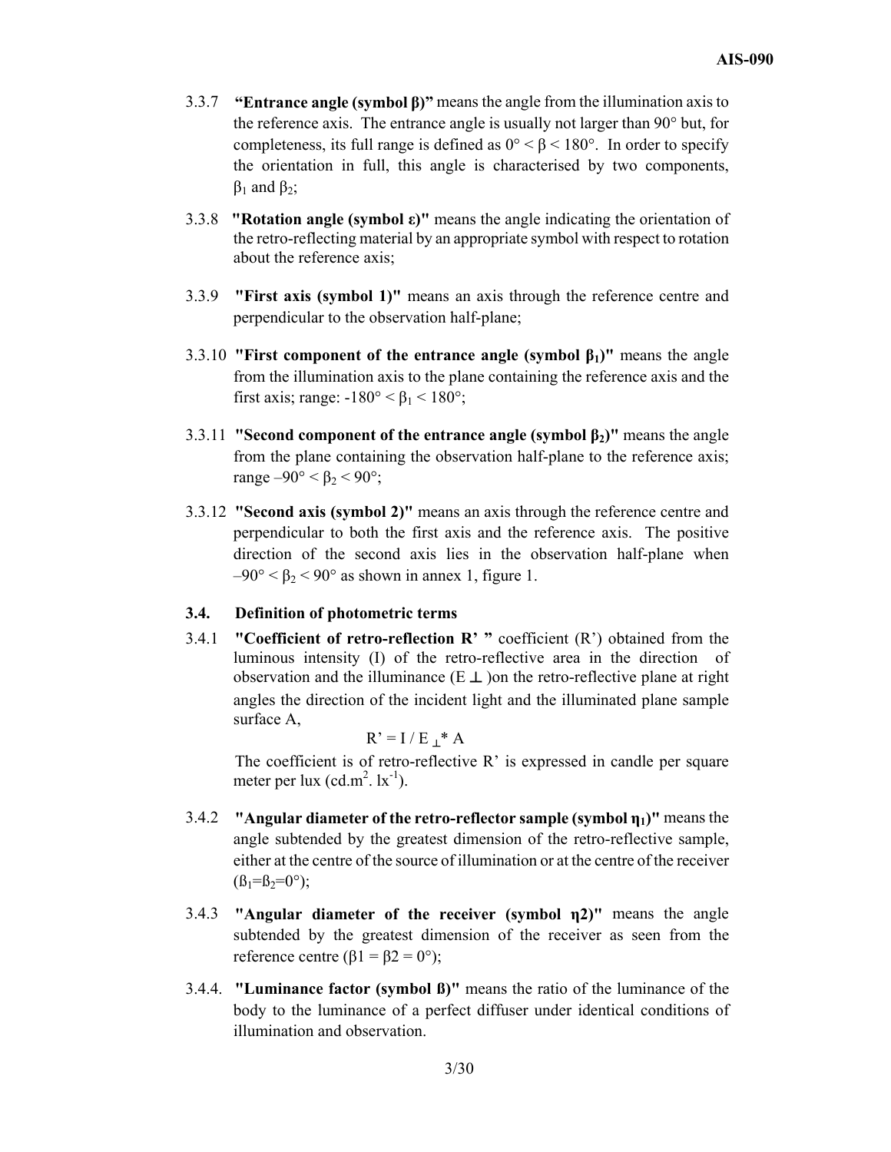- 3.3.7 **"Entrance angle (symbol β)"** means the angle from the illumination axis to the reference axis. The entrance angle is usually not larger than 90° but, for completeness, its full range is defined as  $0^{\circ} < \beta < 180^{\circ}$ . In order to specify the orientation in full, this angle is characterised by two components,  $β_1$  and  $β_2$ ;
- 3.3.8 **"Rotation angle (symbol ε)"** means the angle indicating the orientation of the retro-reflecting material by an appropriate symbol with respect to rotation about the reference axis;
- 3.3.9 **"First axis (symbol 1)"** means an axis through the reference centre and perpendicular to the observation half-plane;
- 3.3.10 **"First component of the entrance angle (symbol β1)"** means the angle from the illumination axis to the plane containing the reference axis and the first axis; range:  $-180^\circ < \beta_1 < 180^\circ$ ;
- 3.3.11 **"Second component of the entrance angle (symbol β2)"** means the angle from the plane containing the observation half-plane to the reference axis; range  $-90^\circ < \beta_2 < 90^\circ$ ;
- 3.3.12 **"Second axis (symbol 2)"** means an axis through the reference centre and perpendicular to both the first axis and the reference axis. The positive direction of the second axis lies in the observation half-plane when  $-90^{\circ} < \beta_2 < 90^{\circ}$  as shown in annex 1, figure 1.

#### **3.4. Definition of photometric terms**

3.4.1 **"Coefficient of retro-reflection R' "** coefficient (R') obtained from the luminous intensity (I) of the retro-reflective area in the direction of observation and the illuminance  $(E \perp)$  on the retro-reflective plane at right angles the direction of the incident light and the illuminated plane sample surface A,

 $R' = I / E_+^* A$ 

The coefficient is of retro-reflective  $R'$  is expressed in candle per square meter per lux  $(cd.m^2. 1x^{-1})$ .

- 3.4.2 **"Angular diameter of the retro-reflector sample (symbol η1)"** means the angle subtended by the greatest dimension of the retro-reflective sample, either at the centre of the source of illumination or at the centre of the receiver  $(\beta_1 = \beta_2 = 0^\circ);$
- 3.4.3 **"Angular diameter of the receiver (symbol η2)"** means the angle subtended by the greatest dimension of the receiver as seen from the reference centre (β1 =  $β2 = 0°$ );
- 3.4.4. **"Luminance factor (symbol ß)"** means the ratio of the luminance of the body to the luminance of a perfect diffuser under identical conditions of illumination and observation.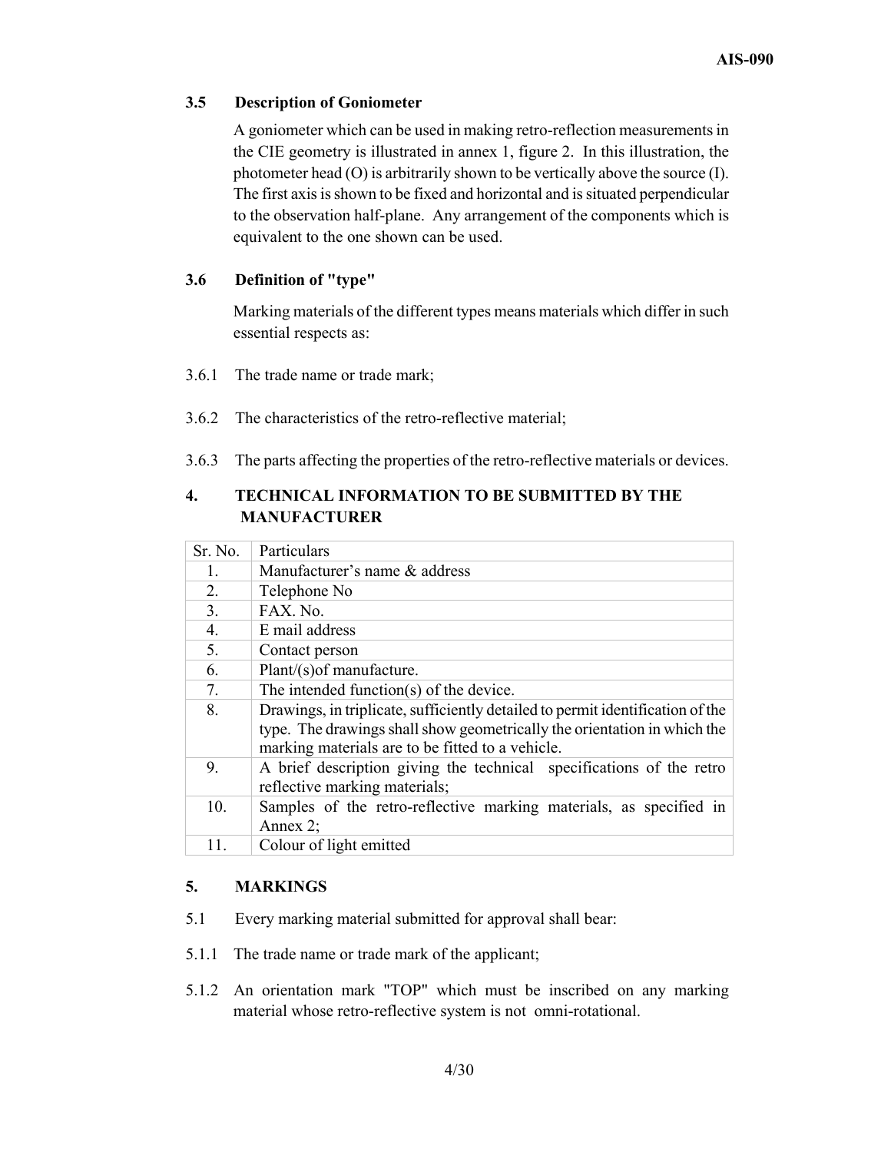## **3.5 Description of Goniometer**

A goniometer which can be used in making retro-reflection measurements in the CIE geometry is illustrated in annex 1, figure 2. In this illustration, the photometer head (O) is arbitrarily shown to be vertically above the source (I). The first axis is shown to be fixed and horizontal and is situated perpendicular to the observation half-plane. Any arrangement of the components which is equivalent to the one shown can be used.

## **3.6 Definition of "type"**

Marking materials of the different types means materials which differ in such essential respects as:

- 3.6.1 The trade name or trade mark;
- 3.6.2 The characteristics of the retro-reflective material;
- 3.6.3 The parts affecting the properties of the retro-reflective materials or devices.

## **4. TECHNICAL INFORMATION TO BE SUBMITTED BY THE MANUFACTURER**

| Sr. No.        | Particulars                                                                    |
|----------------|--------------------------------------------------------------------------------|
| $\mathbf{1}$ . | Manufacturer's name & address                                                  |
| 2.             | Telephone No                                                                   |
| 3.             | FAX. No.                                                                       |
| 4.             | E mail address                                                                 |
| 5.             | Contact person                                                                 |
| 6.             | Plant/(s) of manufacture.                                                      |
| 7.             | The intended function(s) of the device.                                        |
| 8.             | Drawings, in triplicate, sufficiently detailed to permit identification of the |
|                | type. The drawings shall show geometrically the orientation in which the       |
|                | marking materials are to be fitted to a vehicle.                               |
| 9.             | A brief description giving the technical specifications of the retro           |
|                | reflective marking materials;                                                  |
| 10.            | Samples of the retro-reflective marking materials, as specified in             |
|                | Annex $2$ ;                                                                    |
| 11.            | Colour of light emitted                                                        |

## **5. MARKINGS**

- 5.1 Every marking material submitted for approval shall bear:
- 5.1.1 The trade name or trade mark of the applicant;
- 5.1.2 An orientation mark "TOP" which must be inscribed on any marking material whose retro-reflective system is not omni-rotational.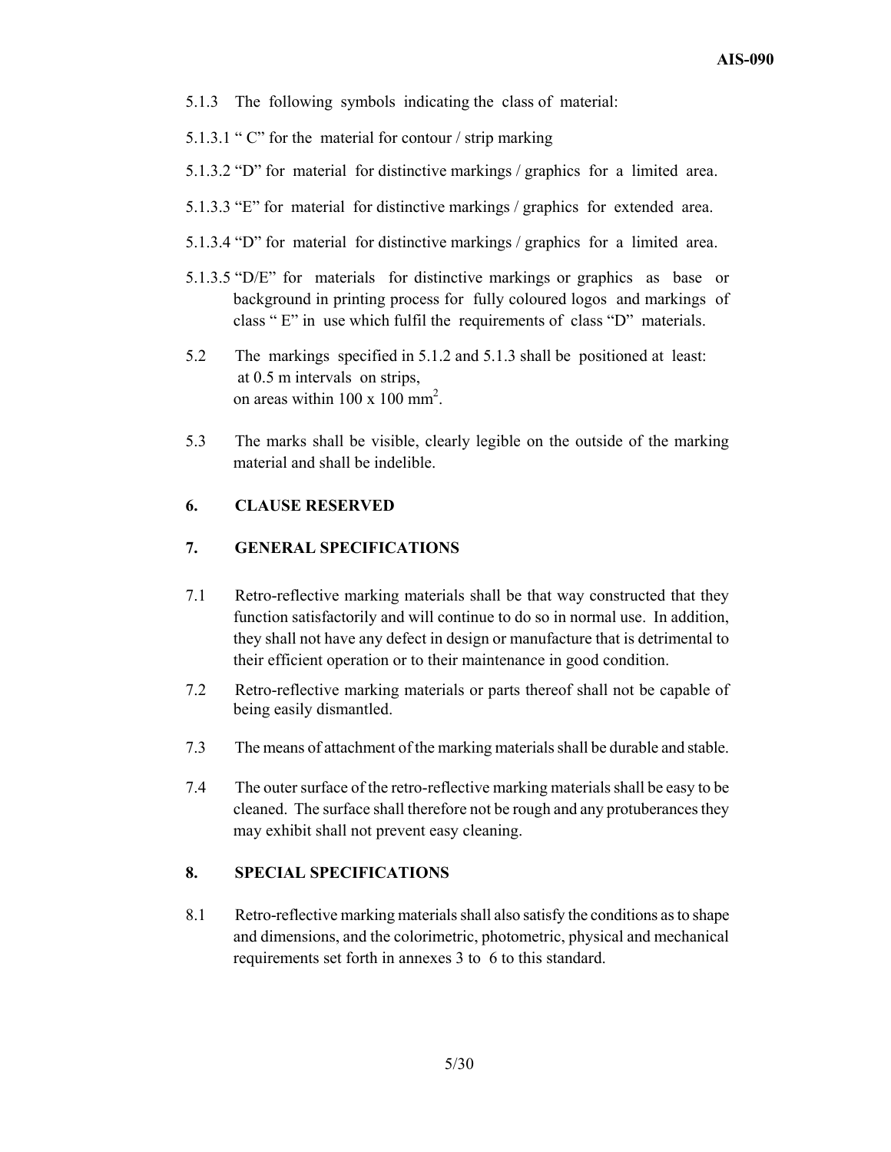- 5.1.3 The following symbols indicating the class of material:
- 5.1.3.1 " C" for the material for contour / strip marking
- 5.1.3.2 "D" for material for distinctive markings / graphics for a limited area.
- 5.1.3.3 "E" for material for distinctive markings / graphics for extended area.
- 5.1.3.4 "D" for material for distinctive markings / graphics for a limited area.
- 5.1.3.5 "D/E" for materials for distinctive markings or graphics as base or background in printing process for fully coloured logos and markings of class " E" in use which fulfil the requirements of class "D" materials.
- 5.2 The markings specified in 5.1.2 and 5.1.3 shall be positioned at least: at 0.5 m intervals on strips, on areas within  $100 \times 100$  mm<sup>2</sup>.
- 5.3 The marks shall be visible, clearly legible on the outside of the marking material and shall be indelible.

## **6. CLAUSE RESERVED**

## **7. GENERAL SPECIFICATIONS**

- 7.1 Retro-reflective marking materials shall be that way constructed that they function satisfactorily and will continue to do so in normal use. In addition, they shall not have any defect in design or manufacture that is detrimental to their efficient operation or to their maintenance in good condition.
- 7.2 Retro-reflective marking materials or parts thereof shall not be capable of being easily dismantled.
- 7.3 The means of attachment of the marking materials shall be durable and stable.
- 7.4 The outer surface of the retro-reflective marking materials shall be easy to be cleaned. The surface shall therefore not be rough and any protuberances they may exhibit shall not prevent easy cleaning.

## **8. SPECIAL SPECIFICATIONS**

8.1 Retro-reflective marking materials shall also satisfy the conditions as to shape and dimensions, and the colorimetric, photometric, physical and mechanical requirements set forth in annexes 3 to 6 to this standard.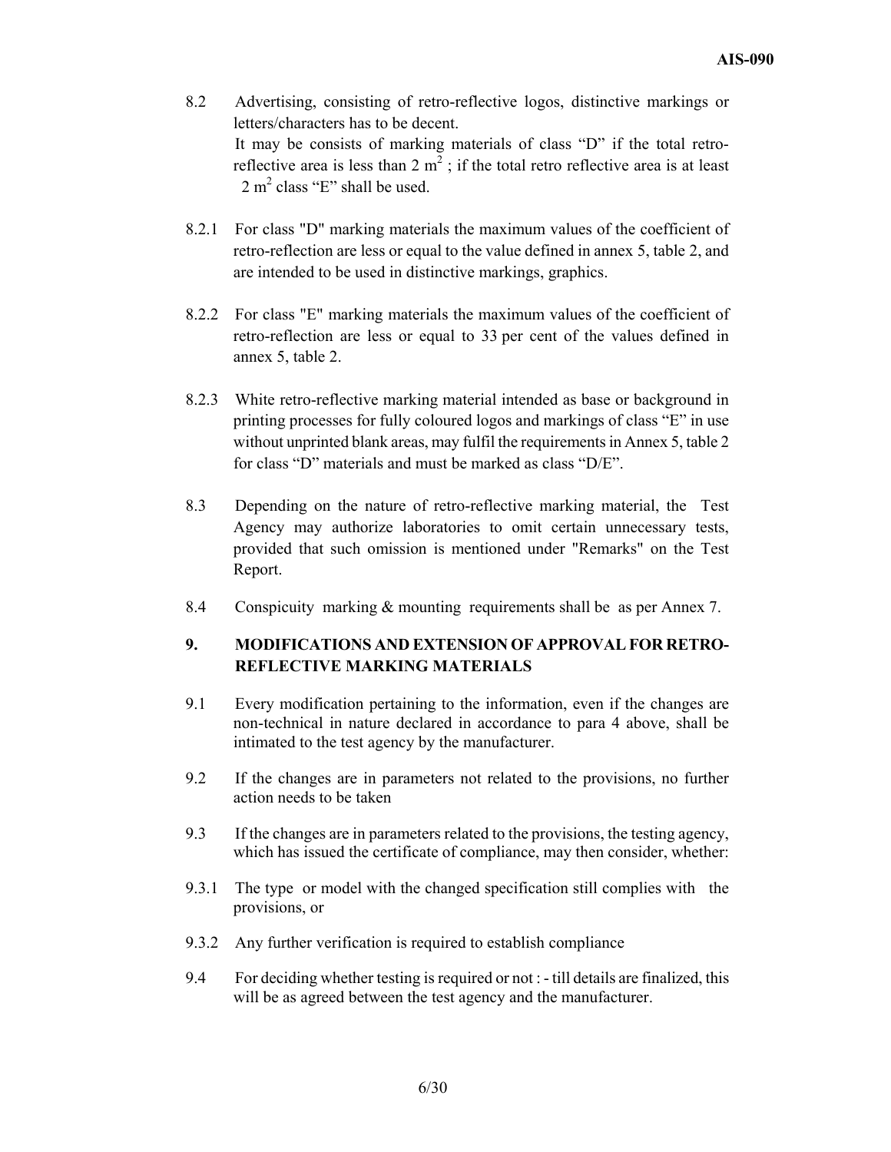- 8.2 Advertising, consisting of retro-reflective logos, distinctive markings or letters/characters has to be decent. It may be consists of marking materials of class "D" if the total retroreflective area is less than  $2 \text{ m}^2$ ; if the total retro reflective area is at least 2 m<sup>2</sup> class "E" shall be used.
- 8.2.1 For class "D" marking materials the maximum values of the coefficient of retro-reflection are less or equal to the value defined in annex 5, table 2, and are intended to be used in distinctive markings, graphics.
- 8.2.2 For class "E" marking materials the maximum values of the coefficient of retro-reflection are less or equal to 33 per cent of the values defined in annex 5, table 2.
- 8.2.3 White retro-reflective marking material intended as base or background in printing processes for fully coloured logos and markings of class "E" in use without unprinted blank areas, may fulfil the requirements in Annex 5, table 2 for class "D" materials and must be marked as class "D/E".
- 8.3 Depending on the nature of retro-reflective marking material, the Test Agency may authorize laboratories to omit certain unnecessary tests, provided that such omission is mentioned under "Remarks" on the Test Report.
- 8.4 Conspicuity marking & mounting requirements shall be as per Annex 7.

## **9. MODIFICATIONS AND EXTENSION OF APPROVAL FOR RETRO-REFLECTIVE MARKING MATERIALS**

- 9.1 Every modification pertaining to the information, even if the changes are non-technical in nature declared in accordance to para 4 above, shall be intimated to the test agency by the manufacturer.
- 9.2 If the changes are in parameters not related to the provisions, no further action needs to be taken
- 9.3 If the changes are in parameters related to the provisions, the testing agency, which has issued the certificate of compliance, may then consider, whether:
- 9.3.1 The type or model with the changed specification still complies with the provisions, or
- 9.3.2 Any further verification is required to establish compliance
- 9.4 For deciding whether testing is required or not : till details are finalized, this will be as agreed between the test agency and the manufacturer.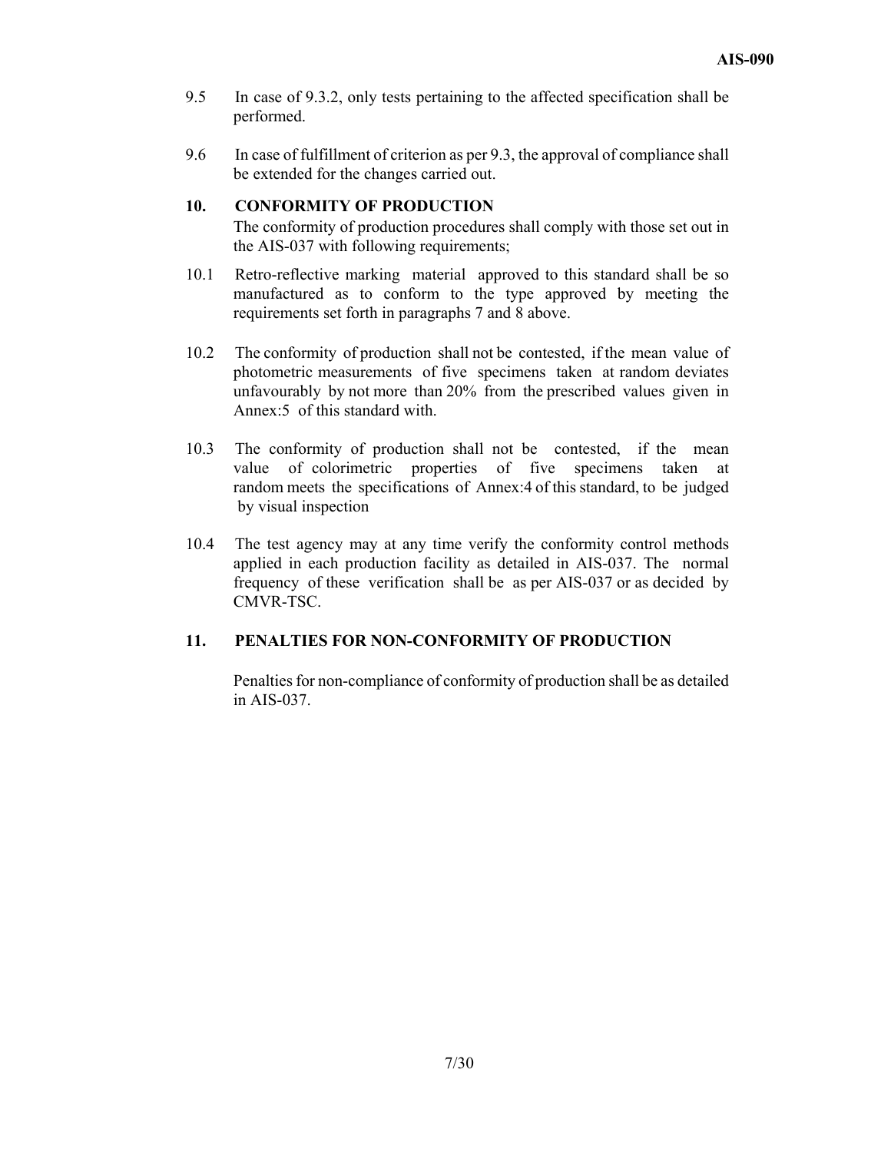- 9.5 In case of 9.3.2, only tests pertaining to the affected specification shall be performed.
- 9.6 In case of fulfillment of criterion as per 9.3, the approval of compliance shall be extended for the changes carried out.

## **10. CONFORMITY OF PRODUCTION**

The conformity of production procedures shall comply with those set out in the AIS-037 with following requirements;

- 10.1 Retro-reflective marking material approved to this standard shall be so manufactured as to conform to the type approved by meeting the requirements set forth in paragraphs 7 and 8 above.
- 10.2 The conformity of production shall not be contested, if the mean value of photometric measurements of five specimens taken at random deviates unfavourably by not more than 20% from the prescribed values given in Annex:5 of this standard with.
- 10.3 The conformity of production shall not be contested, if the mean value of colorimetric properties of five specimens taken at random meets the specifications of Annex:4 of this standard, to be judged by visual inspection
- 10.4 The test agency may at any time verify the conformity control methods applied in each production facility as detailed in AIS-037. The normal frequency of these verification shall be as per AIS-037 or as decided by CMVR-TSC.

## **11. PENALTIES FOR NON-CONFORMITY OF PRODUCTION**

Penalties for non-compliance of conformity of production shall be as detailed in AIS-037.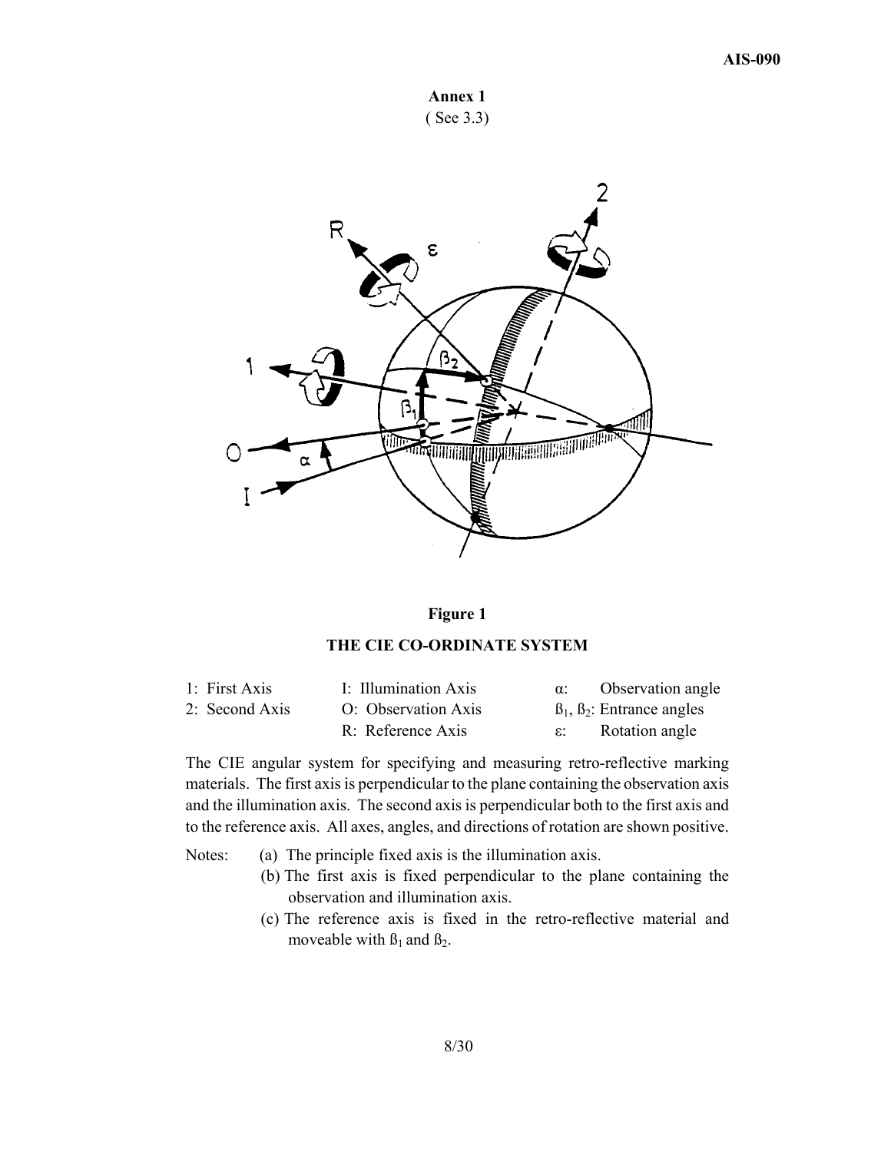



## **Figure 1**

### **THE CIE CO-ORDINATE SYSTEM**

| 1: First Axis  | I: Illumination Axis | Observation angle                       |
|----------------|----------------------|-----------------------------------------|
| 2: Second Axis | O: Observation Axis  | $\beta_1$ , $\beta_2$ : Entrance angles |
|                | R: Reference Axis    | Rotation angle                          |

The CIE angular system for specifying and measuring retro-reflective marking materials. The first axis is perpendicular to the plane containing the observation axis and the illumination axis. The second axis is perpendicular both to the first axis and to the reference axis. All axes, angles, and directions of rotation are shown positive.

- Notes: (a) The principle fixed axis is the illumination axis.
	- (b) The first axis is fixed perpendicular to the plane containing the observation and illumination axis.
	- (c) The reference axis is fixed in the retro-reflective material and moveable with  $\beta_1$  and  $\beta_2$ .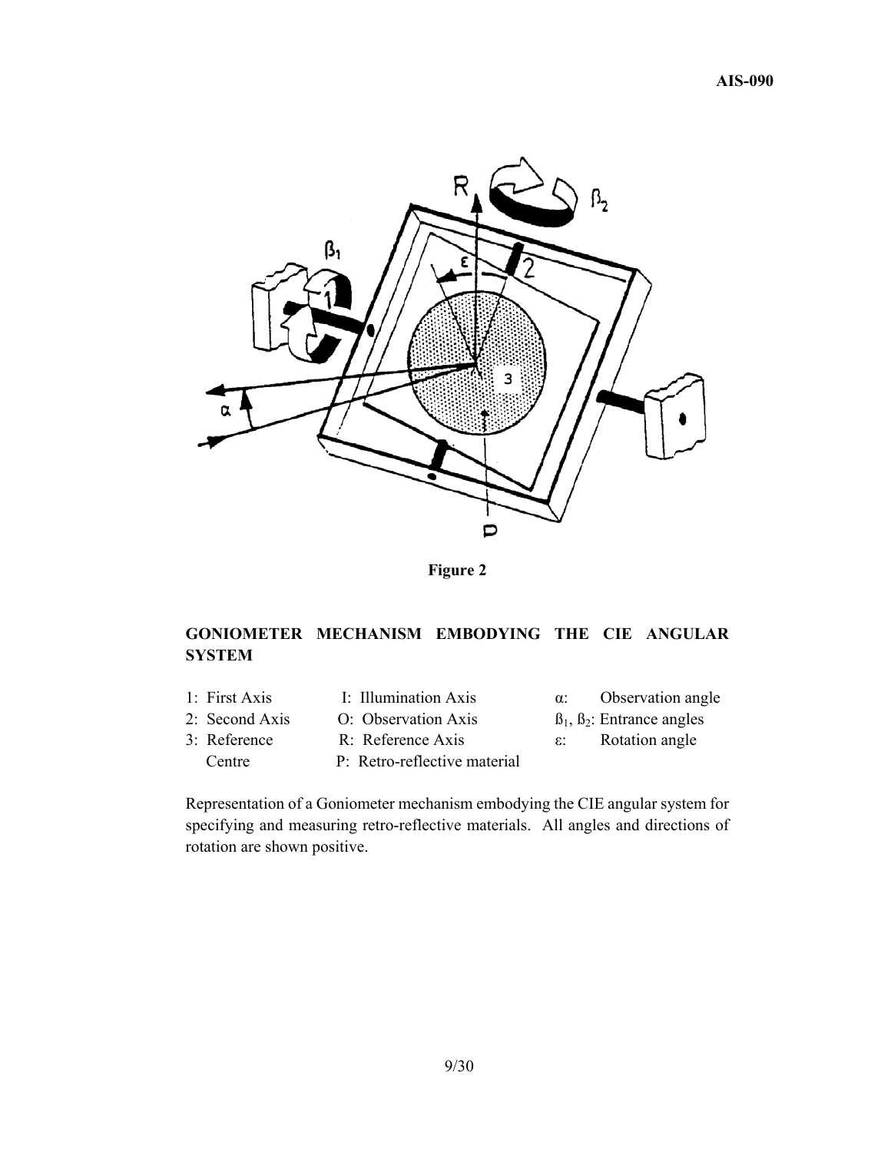

**Figure 2** 

## **GONIOMETER MECHANISM EMBODYING THE CIE ANGULAR SYSTEM**

- 1: First Axis I: Illumination Axis α: Observation angle
	-
- 3: Reference R: Reference Axis ε: Rotation angle Centre P: Retro-reflective material
- 
- 2: Second Axis O: Observation Axis  $B_1, B_2$ : Entrance angles
	-

Representation of a Goniometer mechanism embodying the CIE angular system for specifying and measuring retro-reflective materials. All angles and directions of rotation are shown positive.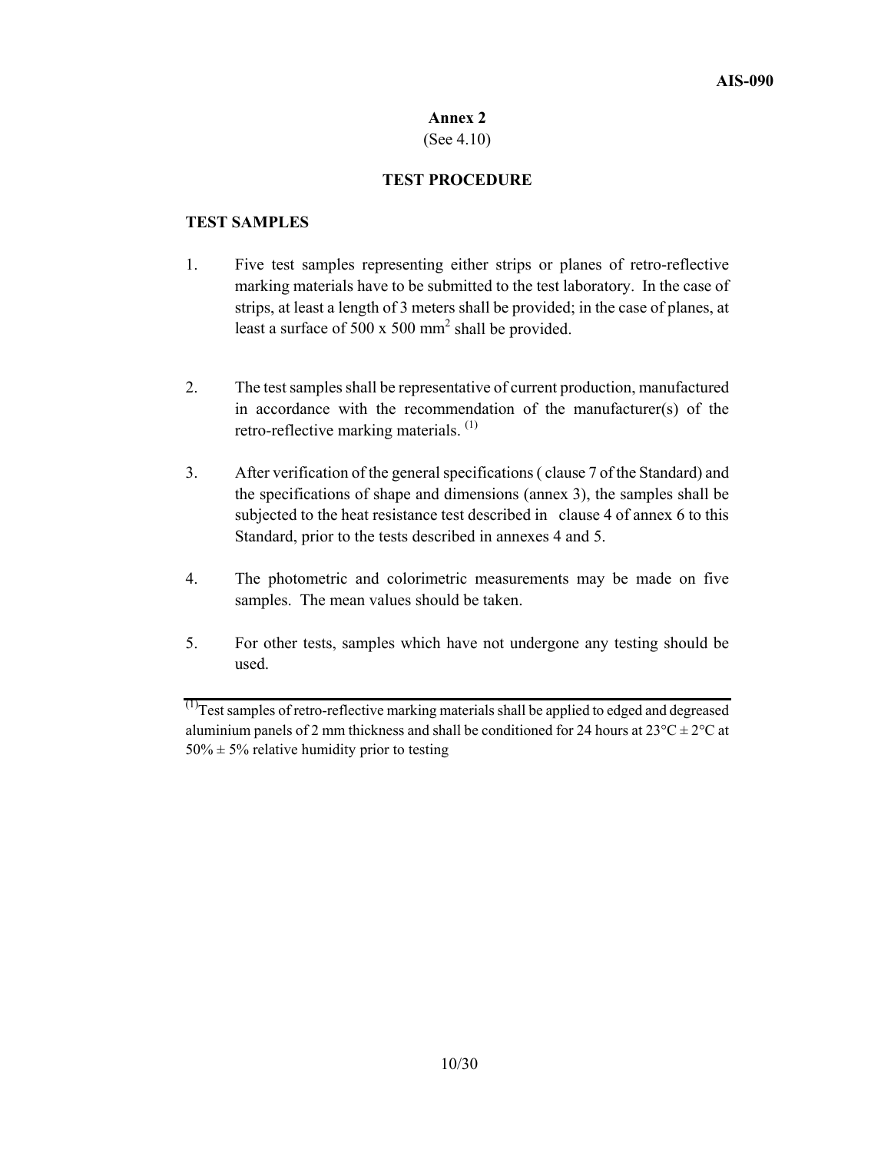(See 4.10)

## **TEST PROCEDURE**

## **TEST SAMPLES**

- 1. Five test samples representing either strips or planes of retro-reflective marking materials have to be submitted to the test laboratory. In the case of strips, at least a length of 3 meters shall be provided; in the case of planes, at least a surface of 500 x 500 mm<sup>2</sup> shall be provided.
- 2. The test samples shall be representative of current production, manufactured in accordance with the recommendation of the manufacturer(s) of the retro-reflective marking materials.  $(1)$
- 3. After verification of the general specifications ( clause 7 of the Standard) and the specifications of shape and dimensions (annex 3), the samples shall be subjected to the heat resistance test described in clause 4 of annex 6 to this Standard, prior to the tests described in annexes 4 and 5.
- 4. The photometric and colorimetric measurements may be made on five samples. The mean values should be taken.
- 5. For other tests, samples which have not undergone any testing should be used.

 $^{(1)}$ Test samples of retro-reflective marking materials shall be applied to edged and degreased aluminium panels of 2 mm thickness and shall be conditioned for 24 hours at  $23^{\circ}C \pm 2^{\circ}C$  at  $50\% \pm 5\%$  relative humidity prior to testing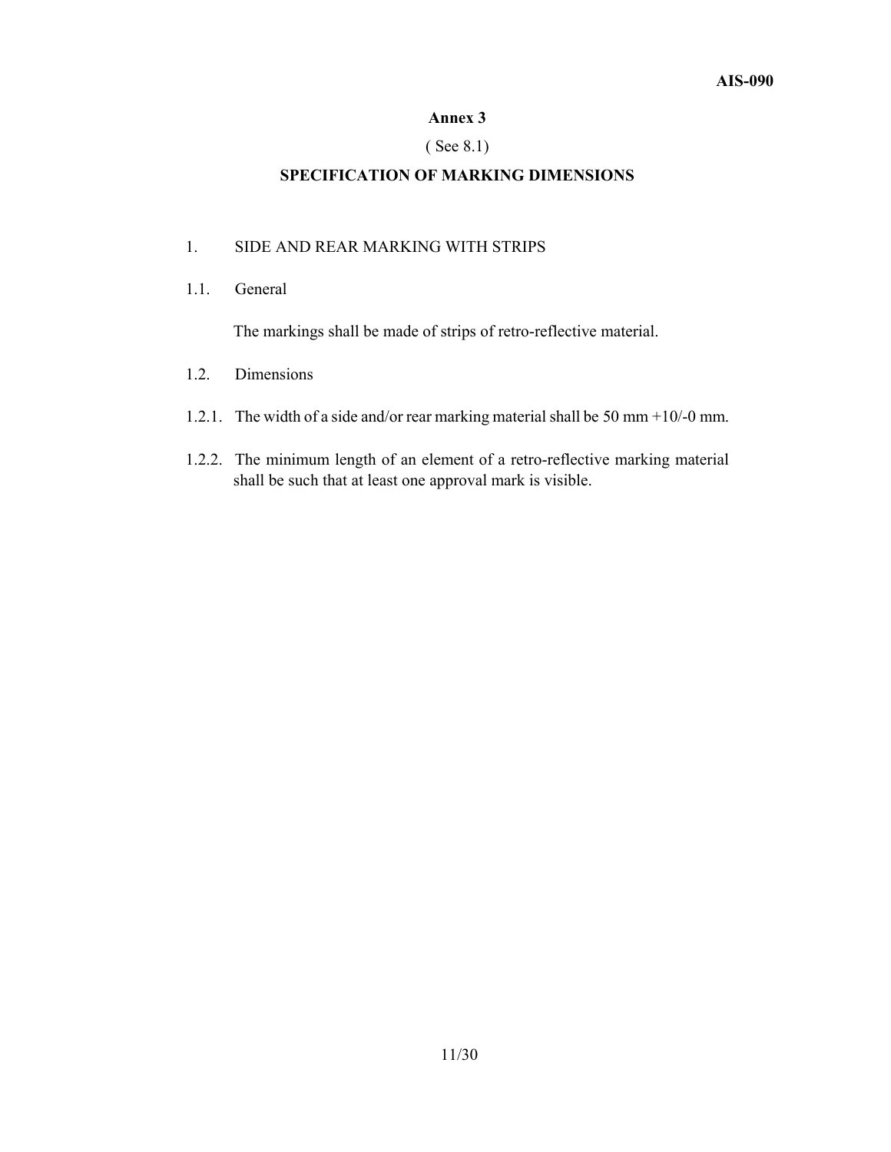## ( See 8.1)

## **SPECIFICATION OF MARKING DIMENSIONS**

### 1. SIDE AND REAR MARKING WITH STRIPS

1.1. General

The markings shall be made of strips of retro-reflective material.

- 1.2. Dimensions
- 1.2.1. The width of a side and/or rear marking material shall be 50 mm +10/-0 mm.
- 1.2.2. The minimum length of an element of a retro-reflective marking material shall be such that at least one approval mark is visible.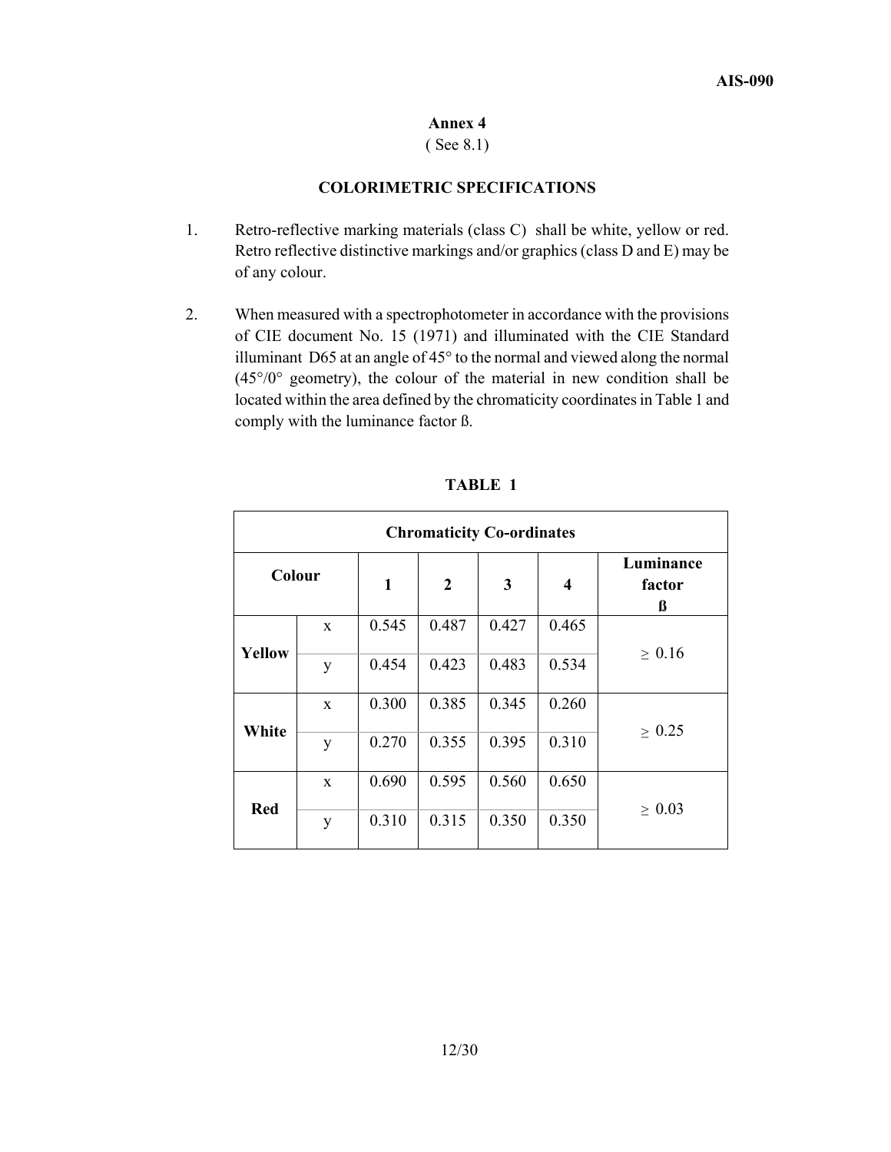( See 8.1)

## **COLORIMETRIC SPECIFICATIONS**

- 1. Retro-reflective marking materials (class C) shall be white, yellow or red. Retro reflective distinctive markings and/or graphics (class D and E) may be of any colour.
- 2. When measured with a spectrophotometer in accordance with the provisions of CIE document No. 15 (1971) and illuminated with the CIE Standard illuminant D65 at an angle of 45° to the normal and viewed along the normal  $(45^{\circ}/0^{\circ})$  geometry), the colour of the material in new condition shall be located within the area defined by the chromaticity coordinates in Table 1 and comply with the luminance factor ß.

|            | <b>Chromaticity Co-ordinates</b> |              |                |       |                         |                          |  |  |
|------------|----------------------------------|--------------|----------------|-------|-------------------------|--------------------------|--|--|
| Colour     |                                  | $\mathbf{1}$ | $\overline{2}$ | 3     | $\overline{\mathbf{4}}$ | Luminance<br>factor<br>ß |  |  |
|            | $\mathbf{x}$                     | 0.545        | 0.487          | 0.427 | 0.465                   |                          |  |  |
| Yellow     | y                                | 0.454        | 0.423          | 0.483 | 0.534                   | $\geq 0.16$              |  |  |
|            | $\mathbf{x}$                     | 0.300        | 0.385          | 0.345 | 0.260                   |                          |  |  |
| White      | y                                | 0.270        | 0.355          | 0.395 | 0.310                   | $\geq 0.25$              |  |  |
|            | $\mathbf{x}$                     | 0.690        | 0.595          | 0.560 | 0.650                   |                          |  |  |
| <b>Red</b> | y                                | 0.310        | 0.315          | 0.350 | 0.350                   | $\geq 0.03$              |  |  |

**TABLE 1**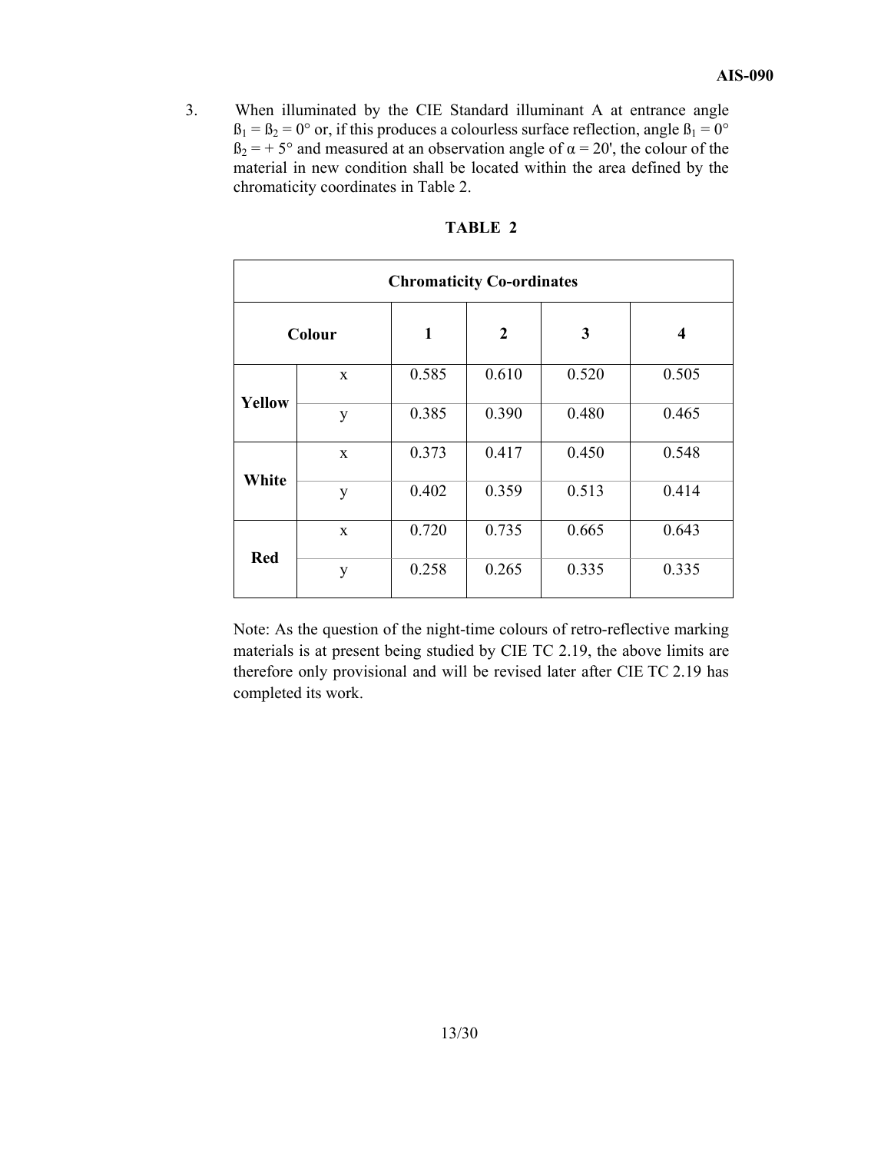3. When illuminated by the CIE Standard illuminant A at entrance angle  $B_1 = B_2 = 0^\circ$  or, if this produces a colourless surface reflection, angle  $B_1 = 0^\circ$  $B_2 = +5^\circ$  and measured at an observation angle of  $\alpha = 20'$ , the colour of the material in new condition shall be located within the area defined by the chromaticity coordinates in Table 2.

|               | <b>Chromaticity Co-ordinates</b> |              |                |                         |       |  |  |
|---------------|----------------------------------|--------------|----------------|-------------------------|-------|--|--|
|               | Colour                           | $\mathbf{1}$ | $\overline{2}$ | $\overline{\mathbf{4}}$ |       |  |  |
|               | $\mathbf{X}$                     | 0.585        | 0.610          | 0.520                   | 0.505 |  |  |
| <b>Yellow</b> | y                                | 0.385        | 0.390          | 0.480                   | 0.465 |  |  |
|               | X                                | 0.373        | 0.417          | 0.450                   | 0.548 |  |  |
| White         | y                                | 0.402        | 0.359          | 0.513                   | 0.414 |  |  |
|               | X                                | 0.720        | 0.735          | 0.665                   | 0.643 |  |  |
| <b>Red</b>    | y                                | 0.258        | 0.265          | 0.335                   | 0.335 |  |  |

#### **TABLE 2**

Note: As the question of the night-time colours of retro-reflective marking materials is at present being studied by CIE TC 2.19, the above limits are therefore only provisional and will be revised later after CIE TC 2.19 has completed its work.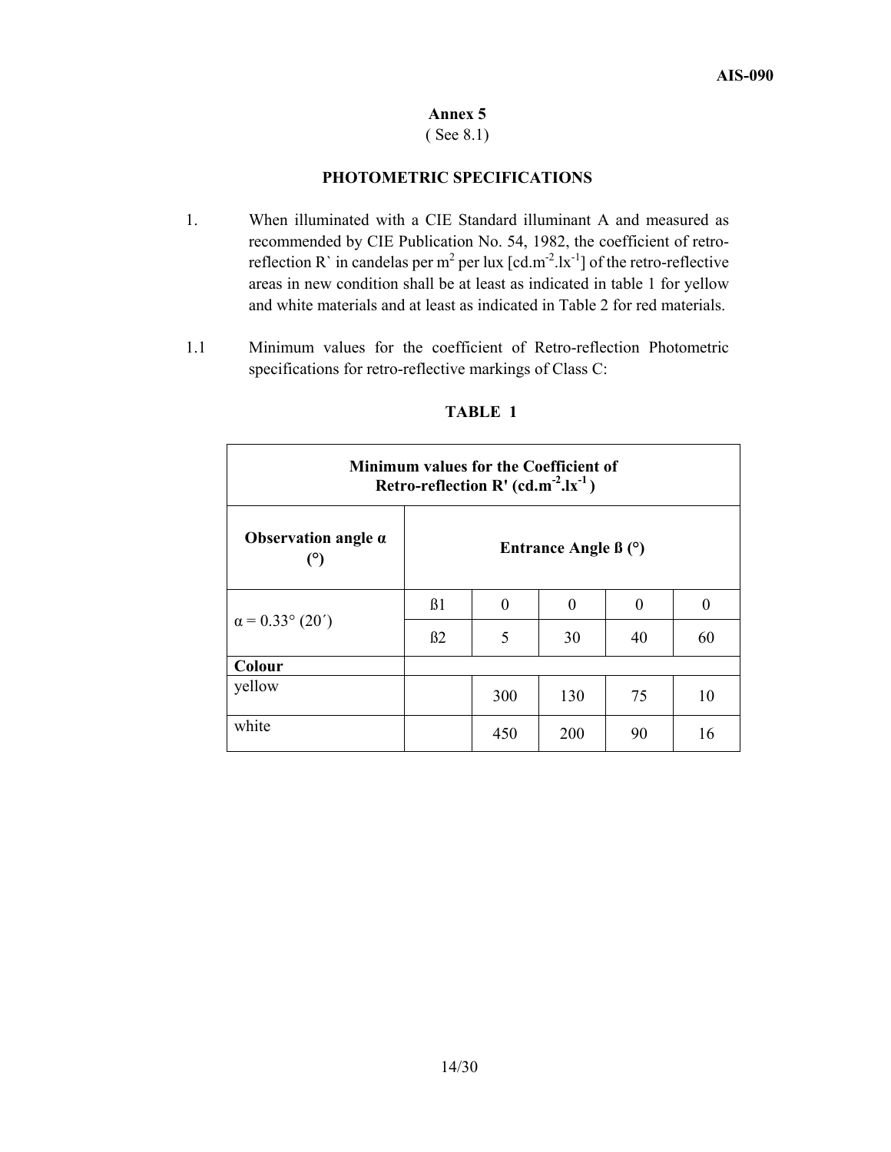### ( See 8.1)

## **PHOTOMETRIC SPECIFICATIONS**

- 1. When illuminated with a CIE Standard illuminant A and measured as recommended by CIE Publication No. 54, 1982, the coefficient of retroreflection R` in candelas per m<sup>2</sup> per lux  $[cd.m^{-2}.lx^{-1}]$  of the retro-reflective areas in new condition shall be at least as indicated in table 1 for yellow and white materials and at least as indicated in Table 2 for red materials.
- 1.1 Minimum values for the coefficient of Retro-reflection Photometric specifications for retro-reflective markings of Class C:

Г

| Minimum values for the Coefficient of<br>Retro-reflection R' $(cd.m^{-2}.lx^{-1})$ |                            |          |     |    |          |  |  |  |
|------------------------------------------------------------------------------------|----------------------------|----------|-----|----|----------|--|--|--|
| Observation angle $\alpha$                                                         | Entrance Angle $\beta$ (°) |          |     |    |          |  |  |  |
|                                                                                    | B1                         | $\theta$ | 0   | 0  | $\Omega$ |  |  |  |
| $\alpha$ = 0.33° (20 <sup>'</sup> )                                                | B2                         | 5        | 30  | 40 | 60       |  |  |  |
| Colour                                                                             |                            |          |     |    |          |  |  |  |
| yellow                                                                             |                            | 300      | 130 | 75 | 10       |  |  |  |
| white                                                                              |                            | 450      | 200 | 90 | 16       |  |  |  |

## **TABLE 1**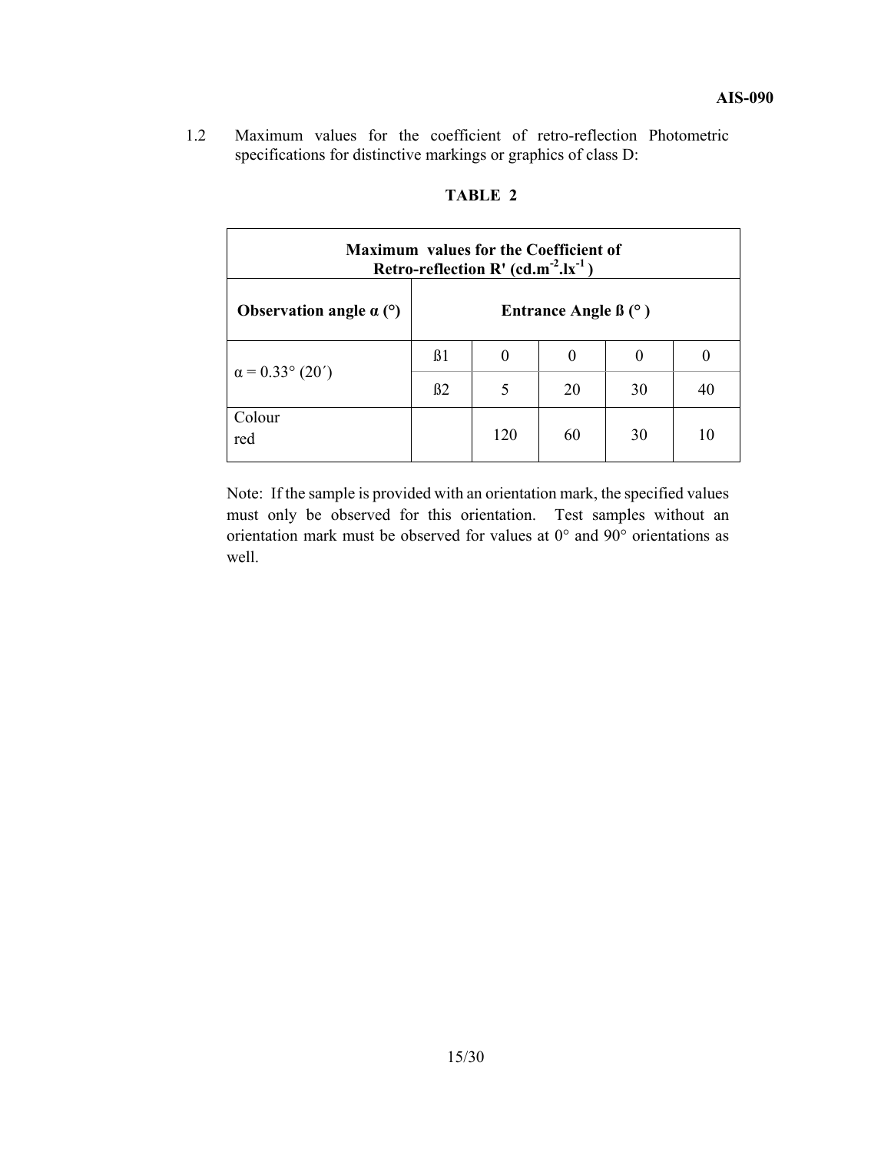1.2 Maximum values for the coefficient of retro-reflection Photometric specifications for distinctive markings or graphics of class D:

| <b>Maximum values for the Coefficient of</b><br>Retro-reflection R' $(cd.m^{-2}.lx^{-1})$ |           |     |                                      |    |    |  |  |  |
|-------------------------------------------------------------------------------------------|-----------|-----|--------------------------------------|----|----|--|--|--|
| Observation angle $\alpha$ (°)                                                            |           |     | Entrance Angle $\beta$ ( $\degree$ ) |    |    |  |  |  |
|                                                                                           | $\beta$ 1 | 0   | $\theta$                             | 0  |    |  |  |  |
| $\alpha$ = 0.33° (20 <sup>'</sup> )                                                       | B2        | 5   | 20                                   | 30 | 40 |  |  |  |
| Colour<br>red                                                                             |           | 120 | 60                                   | 30 | 10 |  |  |  |

## **TABLE 2**

Note: If the sample is provided with an orientation mark, the specified values must only be observed for this orientation. Test samples without an orientation mark must be observed for values at 0° and 90° orientations as well.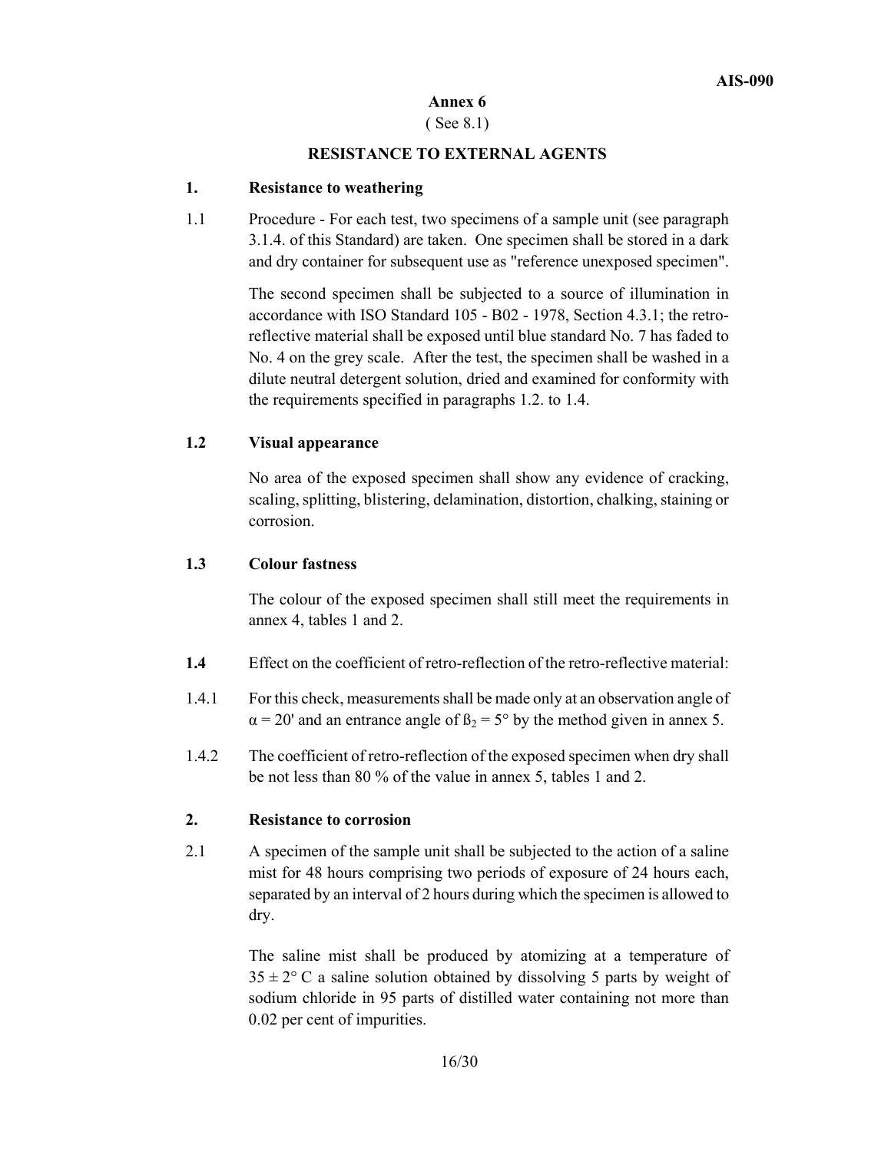## ( See 8.1)

## **RESISTANCE TO EXTERNAL AGENTS**

## **1. Resistance to weathering**

1.1 Procedure - For each test, two specimens of a sample unit (see paragraph 3.1.4. of this Standard) are taken. One specimen shall be stored in a dark and dry container for subsequent use as "reference unexposed specimen".

> The second specimen shall be subjected to a source of illumination in accordance with ISO Standard 105 - B02 - 1978, Section 4.3.1; the retroreflective material shall be exposed until blue standard No. 7 has faded to No. 4 on the grey scale. After the test, the specimen shall be washed in a dilute neutral detergent solution, dried and examined for conformity with the requirements specified in paragraphs 1.2. to 1.4.

## **1.2 Visual appearance**

No area of the exposed specimen shall show any evidence of cracking, scaling, splitting, blistering, delamination, distortion, chalking, staining or corrosion.

## **1.3 Colour fastness**

The colour of the exposed specimen shall still meet the requirements in annex 4, tables 1 and 2.

- **1.4** Effect on the coefficient of retro-reflection of the retro-reflective material:
- 1.4.1 For this check, measurements shall be made only at an observation angle of  $\alpha$  = 20' and an entrance angle of  $\beta_2$  = 5° by the method given in annex 5.
- 1.4.2 The coefficient of retro-reflection of the exposed specimen when dry shall be not less than 80 % of the value in annex 5, tables 1 and 2.

## **2. Resistance to corrosion**

2.1 A specimen of the sample unit shall be subjected to the action of a saline mist for 48 hours comprising two periods of exposure of 24 hours each, separated by an interval of 2 hours during which the specimen is allowed to dry.

> The saline mist shall be produced by atomizing at a temperature of  $35 \pm 2^{\circ}$  C a saline solution obtained by dissolving 5 parts by weight of sodium chloride in 95 parts of distilled water containing not more than 0.02 per cent of impurities.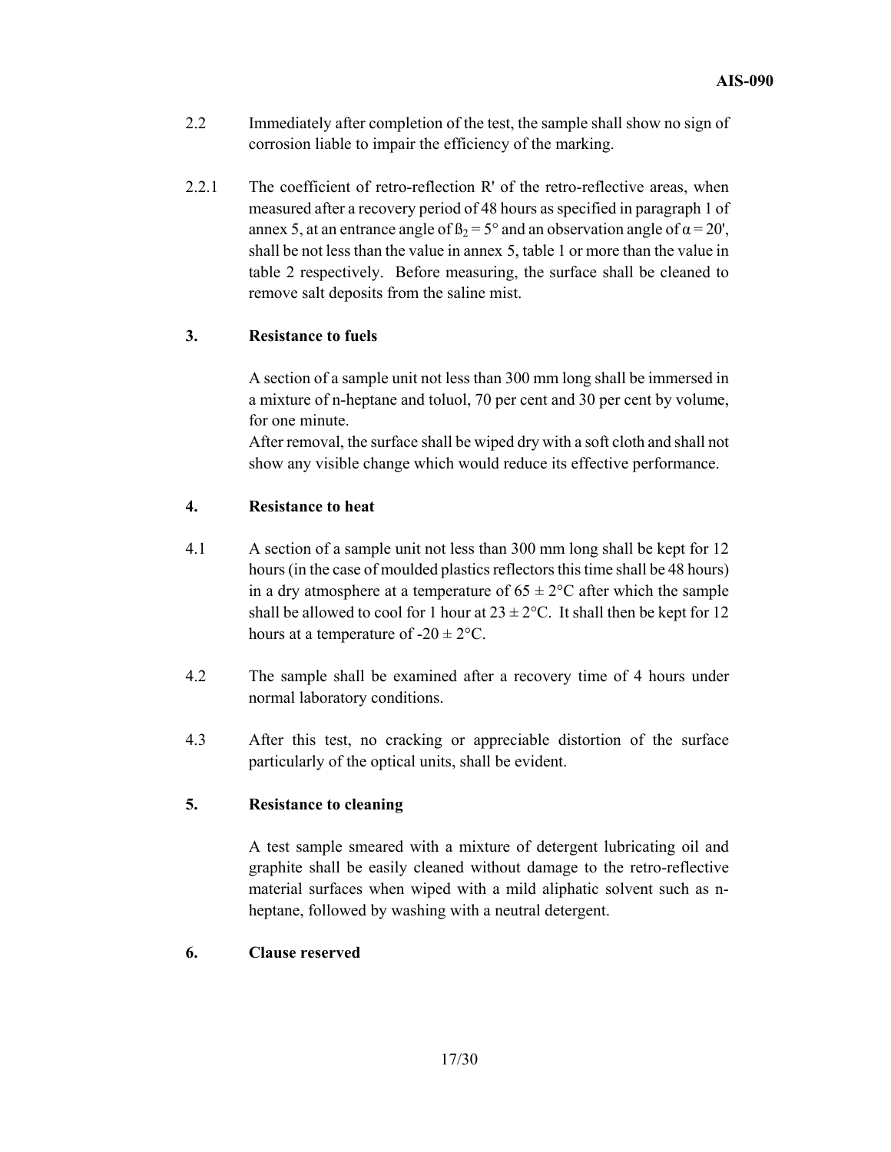- 2.2 Immediately after completion of the test, the sample shall show no sign of corrosion liable to impair the efficiency of the marking.
- 2.2.1 The coefficient of retro-reflection R' of the retro-reflective areas, when measured after a recovery period of 48 hours as specified in paragraph 1 of annex 5, at an entrance angle of  $\beta_2 = 5^\circ$  and an observation angle of  $\alpha = 20'$ , shall be not less than the value in annex 5, table 1 or more than the value in table 2 respectively. Before measuring, the surface shall be cleaned to remove salt deposits from the saline mist.

## **3. Resistance to fuels**

A section of a sample unit not less than 300 mm long shall be immersed in a mixture of n-heptane and toluol, 70 per cent and 30 per cent by volume, for one minute.

After removal, the surface shall be wiped dry with a soft cloth and shall not show any visible change which would reduce its effective performance.

## **4. Resistance to heat**

- 4.1 A section of a sample unit not less than 300 mm long shall be kept for 12 hours (in the case of moulded plastics reflectors this time shall be 48 hours) in a dry atmosphere at a temperature of  $65 \pm 2$ °C after which the sample shall be allowed to cool for 1 hour at  $23 \pm 2$ °C. It shall then be kept for 12 hours at a temperature of  $-20 \pm 2$ °C.
- 4.2 The sample shall be examined after a recovery time of 4 hours under normal laboratory conditions.
- 4.3 After this test, no cracking or appreciable distortion of the surface particularly of the optical units, shall be evident.

## **5. Resistance to cleaning**

A test sample smeared with a mixture of detergent lubricating oil and graphite shall be easily cleaned without damage to the retro-reflective material surfaces when wiped with a mild aliphatic solvent such as nheptane, followed by washing with a neutral detergent.

## **6. Clause reserved**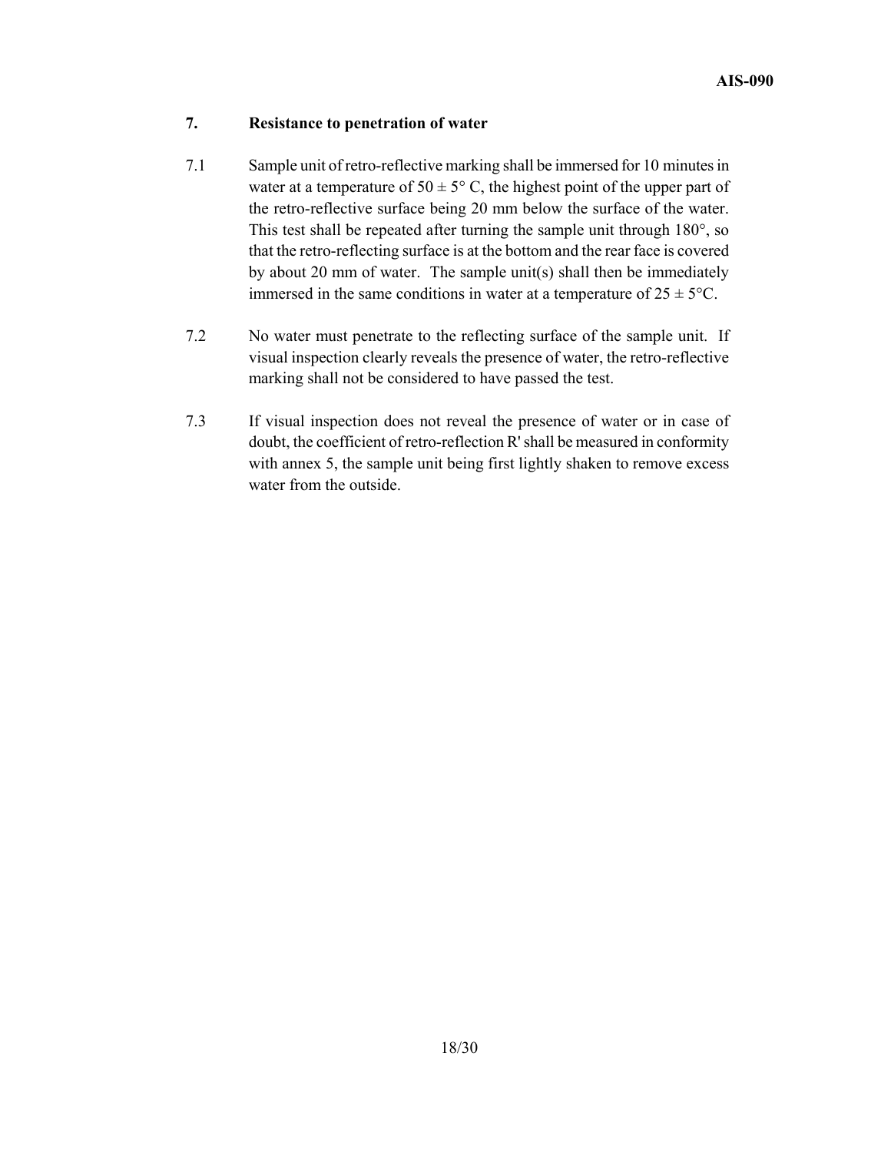## **7. Resistance to penetration of water**

- 7.1 Sample unit of retro-reflective marking shall be immersed for 10 minutes in water at a temperature of  $50 \pm 5^{\circ}$  C, the highest point of the upper part of the retro-reflective surface being 20 mm below the surface of the water. This test shall be repeated after turning the sample unit through 180°, so that the retro-reflecting surface is at the bottom and the rear face is covered by about 20 mm of water. The sample unit(s) shall then be immediately immersed in the same conditions in water at a temperature of  $25 \pm 5^{\circ}$ C.
- 7.2 No water must penetrate to the reflecting surface of the sample unit. If visual inspection clearly reveals the presence of water, the retro-reflective marking shall not be considered to have passed the test.
- 7.3 If visual inspection does not reveal the presence of water or in case of doubt, the coefficient of retro-reflection R' shall be measured in conformity with annex 5, the sample unit being first lightly shaken to remove excess water from the outside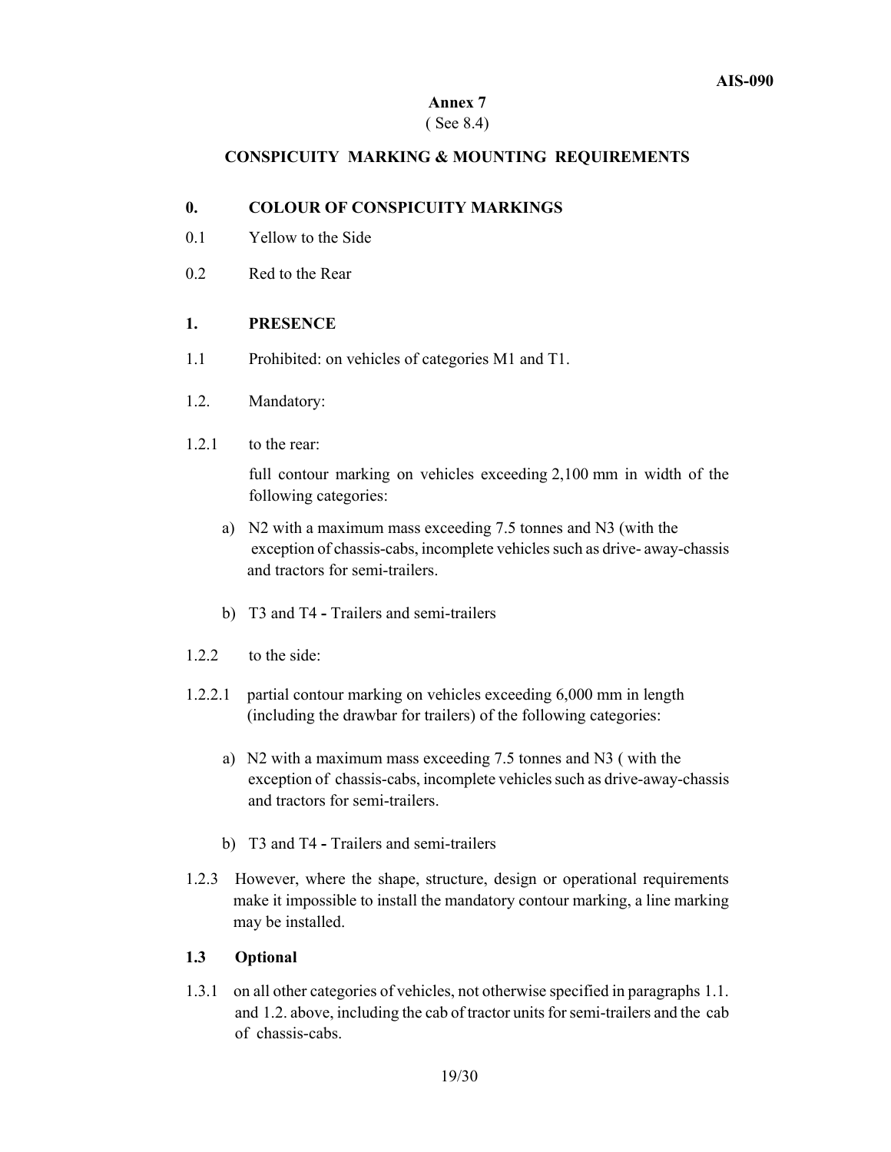## ( See 8.4)

## **CONSPICUITY MARKING & MOUNTING REQUIREMENTS**

## **0. COLOUR OF CONSPICUITY MARKINGS**

- 0.1 Yellow to the Side
- 0.2 Red to the Rear

## **1. PRESENCE**

- 1.1 Prohibited: on vehicles of categories M1 and T1.
- 1.2. Mandatory:
- 1.2.1 to the rear: Ĭ

 full contour marking on vehicles exceeding 2,100 mm in width of the following categories:

- a) N2 with a maximum mass exceeding 7.5 tonnes and N3 (with the exception of chassis-cabs, incomplete vehicles such as drive- away-chassis and tractors for semi-trailers.
- b) T3 and T4 Trailers and semi-trailers
- 1.2.2 to the side:
- 1.2.2.1 partial contour marking on vehicles exceeding 6,000 mm in length (including the drawbar for trailers) of the following categories:
	- a) N2 with a maximum mass exceeding 7.5 tonnes and N3 ( with the exception of chassis-cabs, incomplete vehicles such as drive-away-chassis and tractors for semi-trailers.
	- b) T3 and T4 Trailers and semi-trailers
- 1.2.3 However, where the shape, structure, design or operational requirements make it impossible to install the mandatory contour marking, a line marking may be installed.

## **1.3 Optional**

1.3.1 on all other categories of vehicles, not otherwise specified in paragraphs 1.1. and 1.2. above, including the cab of tractor units for semi-trailers and the cab of chassis-cabs.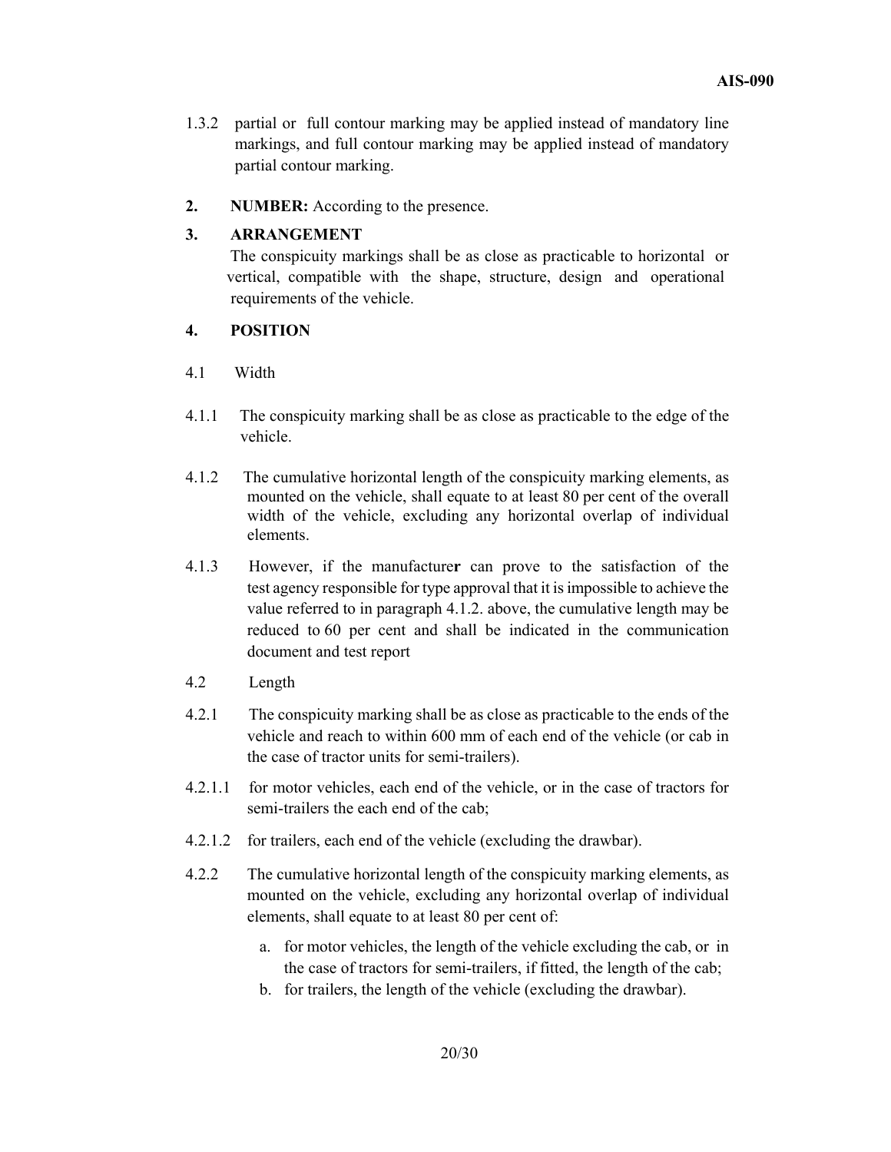- 1.3.2 partial or full contour marking may be applied instead of mandatory line markings, and full contour marking may be applied instead of mandatory partial contour marking.
- **2. NUMBER:** According to the presence.

## **3. ARRANGEMENT**

 The conspicuity markings shall be as close as practicable to horizontal or vertical, compatible with the shape, structure, design and operational requirements of the vehicle.

## **4. POSITION**

- 4.1 Width
- 4.1.1 The conspicuity marking shall be as close as practicable to the edge of the vehicle.
- 4.1.2 The cumulative horizontal length of the conspicuity marking elements, as mounted on the vehicle, shall equate to at least 80 per cent of the overall width of the vehicle, excluding any horizontal overlap of individual elements.
- 4.1.3 However, if the manufacture**r** can prove to the satisfaction of the test agency responsible for type approval that it is impossible to achieve the value referred to in paragraph 4.1.2. above, the cumulative length may be reduced to 60 per cent and shall be indicated in the communication document and test report
- 4.2 Length
- 4.2.1 The conspicuity marking shall be as close as practicable to the ends of the vehicle and reach to within 600 mm of each end of the vehicle (or cab in the case of tractor units for semi-trailers).
- 4.2.1.1 for motor vehicles, each end of the vehicle, or in the case of tractors for semi-trailers the each end of the cab;
- 4.2.1.2 for trailers, each end of the vehicle (excluding the drawbar).
- 4.2.2 The cumulative horizontal length of the conspicuity marking elements, as mounted on the vehicle, excluding any horizontal overlap of individual elements, shall equate to at least 80 per cent of:
	- a. for motor vehicles, the length of the vehicle excluding the cab, or in the case of tractors for semi-trailers, if fitted, the length of the cab;
	- b. for trailers, the length of the vehicle (excluding the drawbar).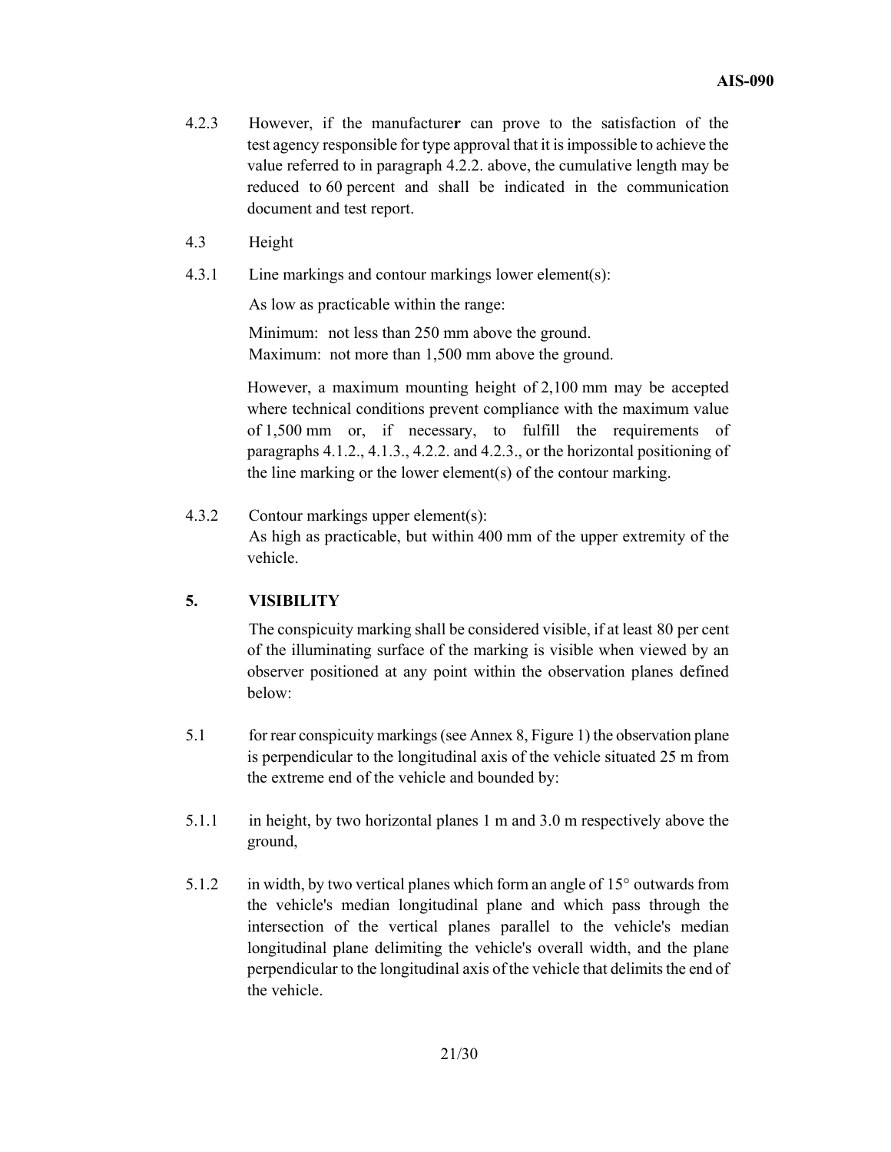- 4.2.3 However, if the manufacture**r** can prove to the satisfaction of the test agency responsible for type approval that it is impossible to achieve the value referred to in paragraph 4.2.2. above, the cumulative length may be reduced to 60 percent and shall be indicated in the communication document and test report.
- 4.3 Height
- 4.3.1 Line markings and contour markings lower element(s):

As low as practicable within the range:

 Minimum: not less than 250 mm above the ground. Maximum: not more than 1,500 mm above the ground.

 However, a maximum mounting height of 2,100 mm may be accepted where technical conditions prevent compliance with the maximum value of 1,500 mm or, if necessary, to fulfill the requirements of paragraphs 4.1.2., 4.1.3., 4.2.2. and 4.2.3., or the horizontal positioning of the line marking or the lower element(s) of the contour marking.

# 4.3.2 Contour markings upper element(s):

 As high as practicable, but within 400 mm of the upper extremity of the vehicle.

#### **5. VISIBILITY**  5.

 The conspicuity marking shall be considered visible, if at least 80 per cent of the illuminating surface of the marking is visible when viewed by an observer positioned at any point within the observation planes defined below:

- 5.1 for rear conspicuity markings (see Annex 8, Figure 1) the observation plane is perpendicular to the longitudinal axis of the vehicle situated 25 m from the extreme end of the vehicle and bounded by:
- 5.1.1 in height, by two horizontal planes 1 m and 3.0 m respectively above the ground,
- 5.1.2 in width, by two vertical planes which form an angle of 15° outwards from the vehicle's median longitudinal plane and which pass through the intersection of the vertical planes parallel to the vehicle's median longitudinal plane delimiting the vehicle's overall width, and the plane perpendicular to the longitudinal axis of the vehicle that delimits the end of the vehicle.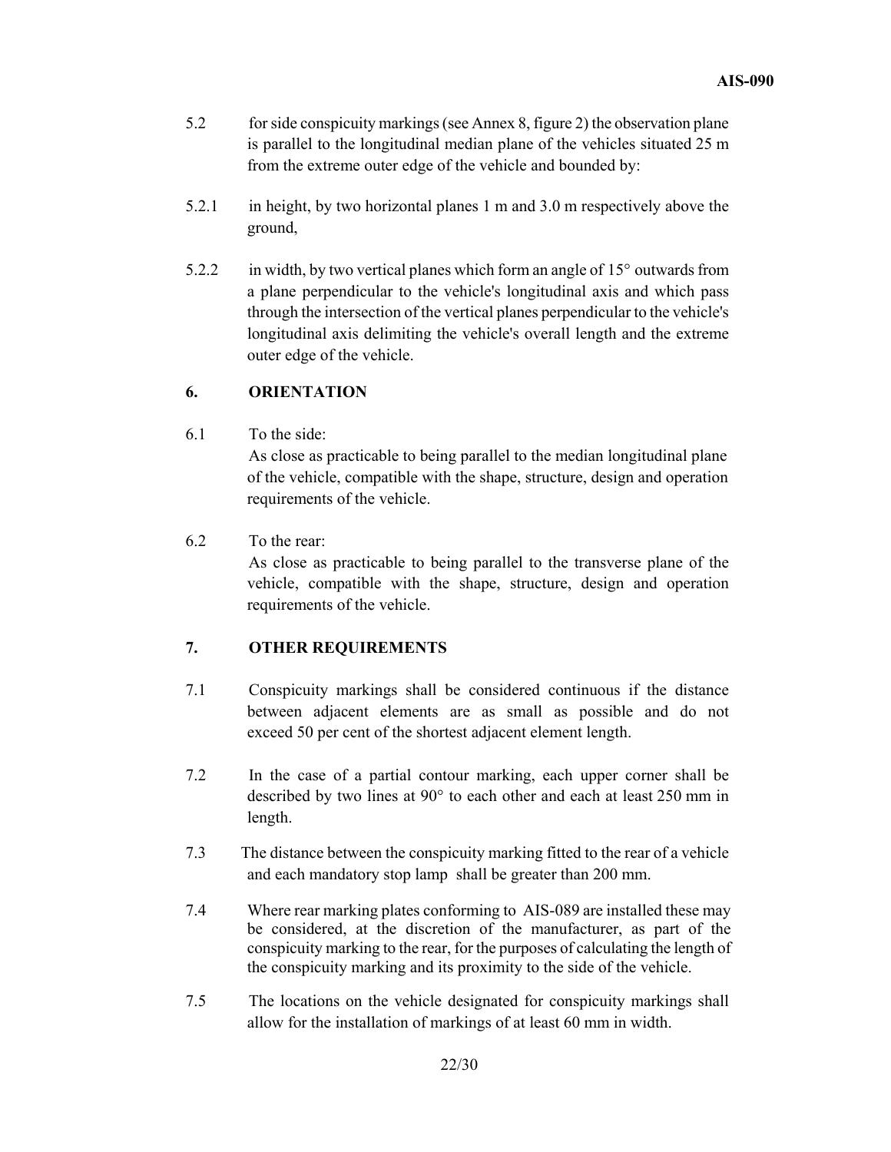- 5.2 for side conspicuity markings (see Annex 8, figure 2) the observation plane is parallel to the longitudinal median plane of the vehicles situated 25 m from the extreme outer edge of the vehicle and bounded by:
- 5.2.1 in height, by two horizontal planes 1 m and 3.0 m respectively above the ground,
- 5.2.2 in width, by two vertical planes which form an angle of 15° outwards from a plane perpendicular to the vehicle's longitudinal axis and which pass through the intersection of the vertical planes perpendicular to the vehicle's longitudinal axis delimiting the vehicle's overall length and the extreme outer edge of the vehicle.

## **6. ORIENTATION**

6.1 To the side:

 As close as practicable to being parallel to the median longitudinal plane of the vehicle, compatible with the shape, structure, design and operation requirements of the vehicle.

6.2 To the rear:

 As close as practicable to being parallel to the transverse plane of the vehicle, compatible with the shape, structure, design and operation requirements of the vehicle.

## **7. OTHER REQUIREMENTS**

- 7.1 Conspicuity markings shall be considered continuous if the distance between adjacent elements are as small as possible and do not exceed 50 per cent of the shortest adjacent element length.
- 7.2 In the case of a partial contour marking, each upper corner shall be described by two lines at 90° to each other and each at least 250 mm in length.
- 7.3 The distance between the conspicuity marking fitted to the rear of a vehicle and each mandatory stop lamp shall be greater than 200 mm.
- 7.4 Where rear marking plates conforming to AIS-089 are installed these may be considered, at the discretion of the manufacturer, as part of the conspicuity marking to the rear, for the purposes of calculating the length of the conspicuity marking and its proximity to the side of the vehicle.
- 7.5 The locations on the vehicle designated for conspicuity markings shall allow for the installation of markings of at least 60 mm in width.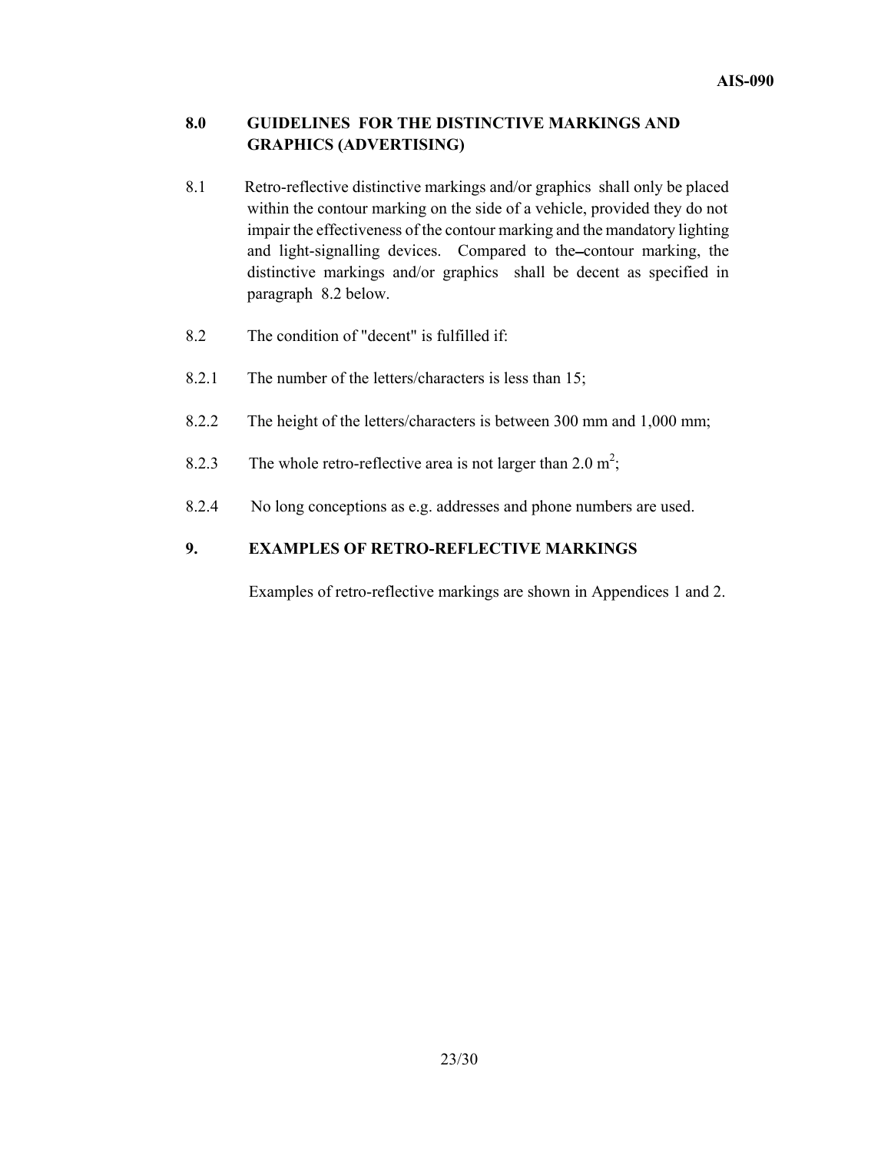## **8.0 GUIDELINES FOR THE DISTINCTIVE MARKINGS AND GRAPHICS (ADVERTISING)**

- 8.1 Retro-reflective distinctive markings and/or graphics shall only be placed within the contour marking on the side of a vehicle, provided they do not impair the effectiveness of the contour marking and the mandatory lighting and light-signalling devices. Compared to the contour marking, the distinctive markings and/or graphics shall be decent as specified in paragraph 8.2 below.
- 8.2 The condition of "decent" is fulfilled if:
- 8.2.1 The number of the letters/characters is less than 15;
- 8.2.2 The height of the letters/characters is between 300 mm and 1,000 mm;
- 8.2.3 The whole retro-reflective area is not larger than  $2.0 \text{ m}^2$ ;
- 8.2.4No long conceptions as e.g. addresses and phone numbers are used.

## **9. EXAMPLES OF RETRO-REFLECTIVE MARKINGS**

Examples of retro-reflective markings are shown in Appendices 1 and 2.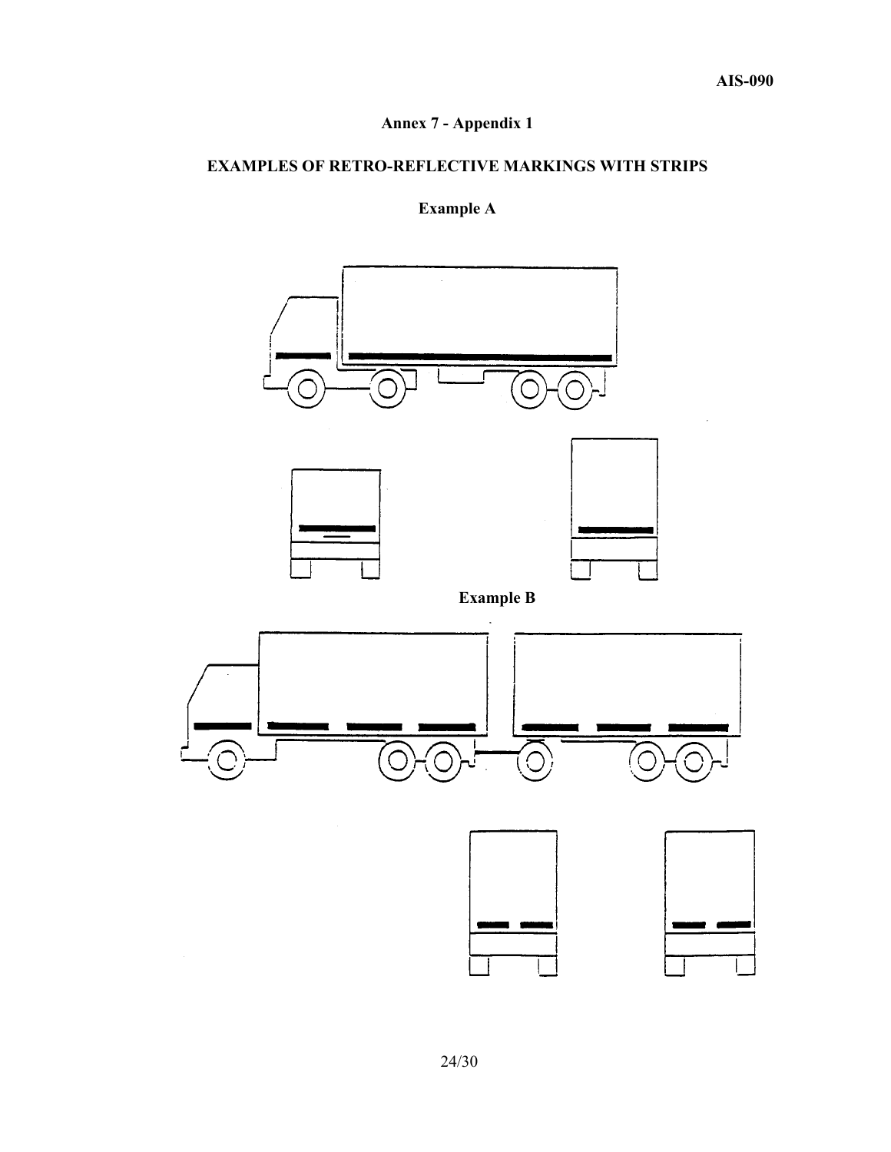# **Annex 7 - Appendix 1**

## **EXAMPLES OF RETRO-REFLECTIVE MARKINGS WITH STRIPS**

# **Example A**

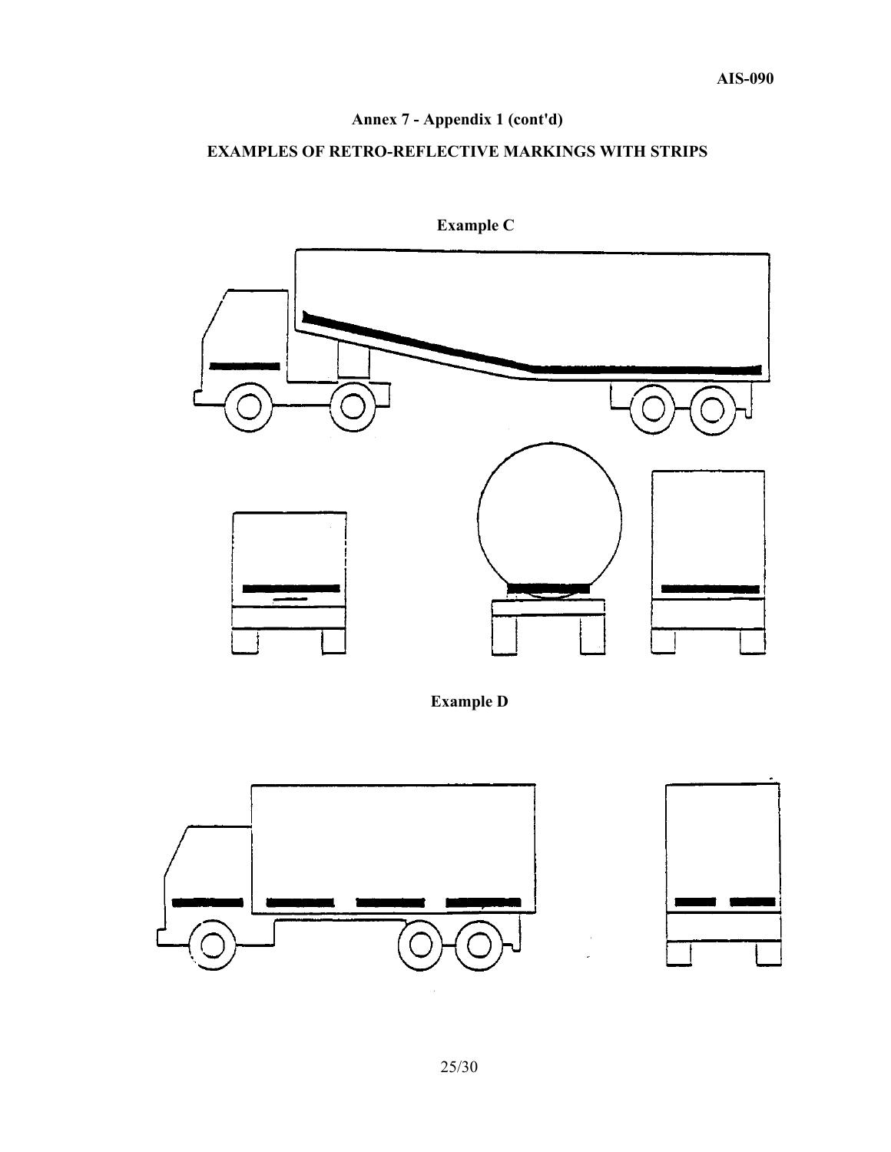# **Annex 7 - Appendix 1 (cont'd)**

## **EXAMPLES OF RETRO-REFLECTIVE MARKINGS WITH STRIPS**



 **Example C** 



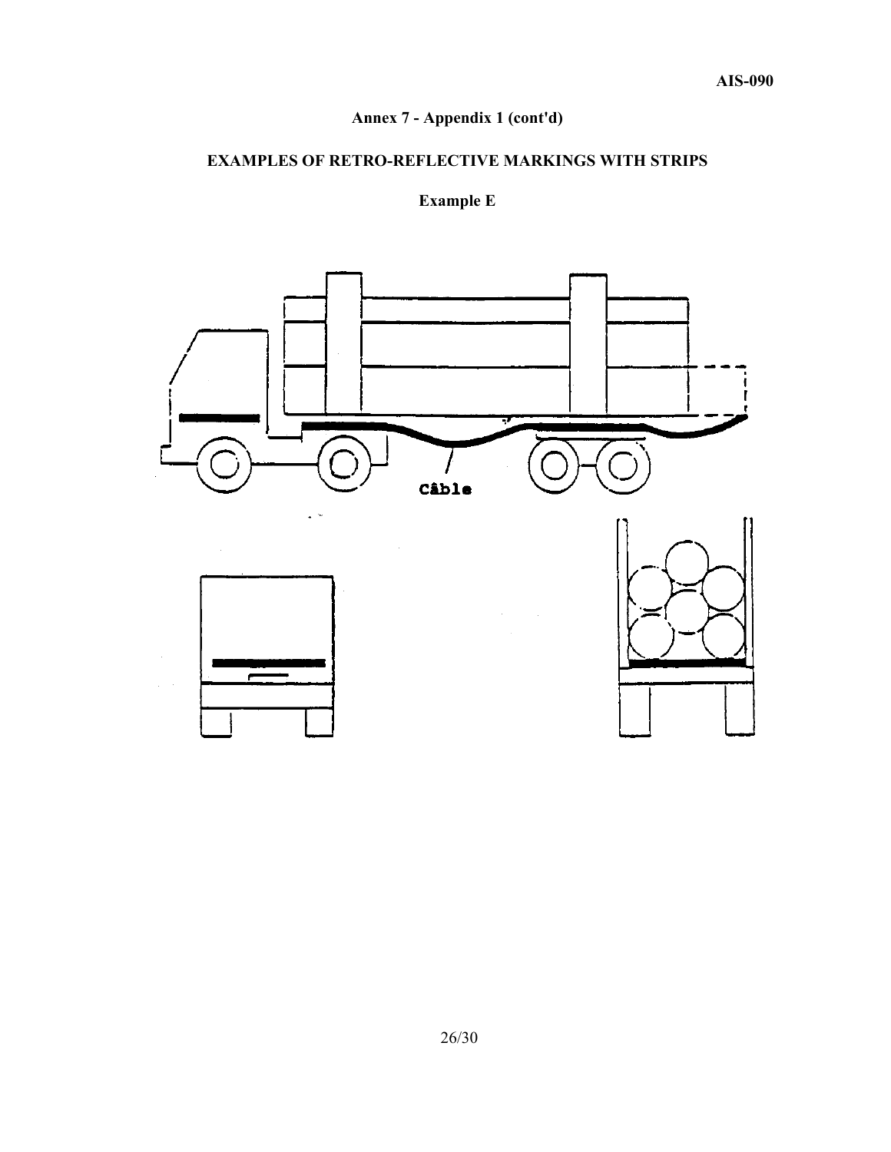# **Annex 7 - Appendix 1 (cont'd)**

## **EXAMPLES OF RETRO-REFLECTIVE MARKINGS WITH STRIPS**

# **Example E**

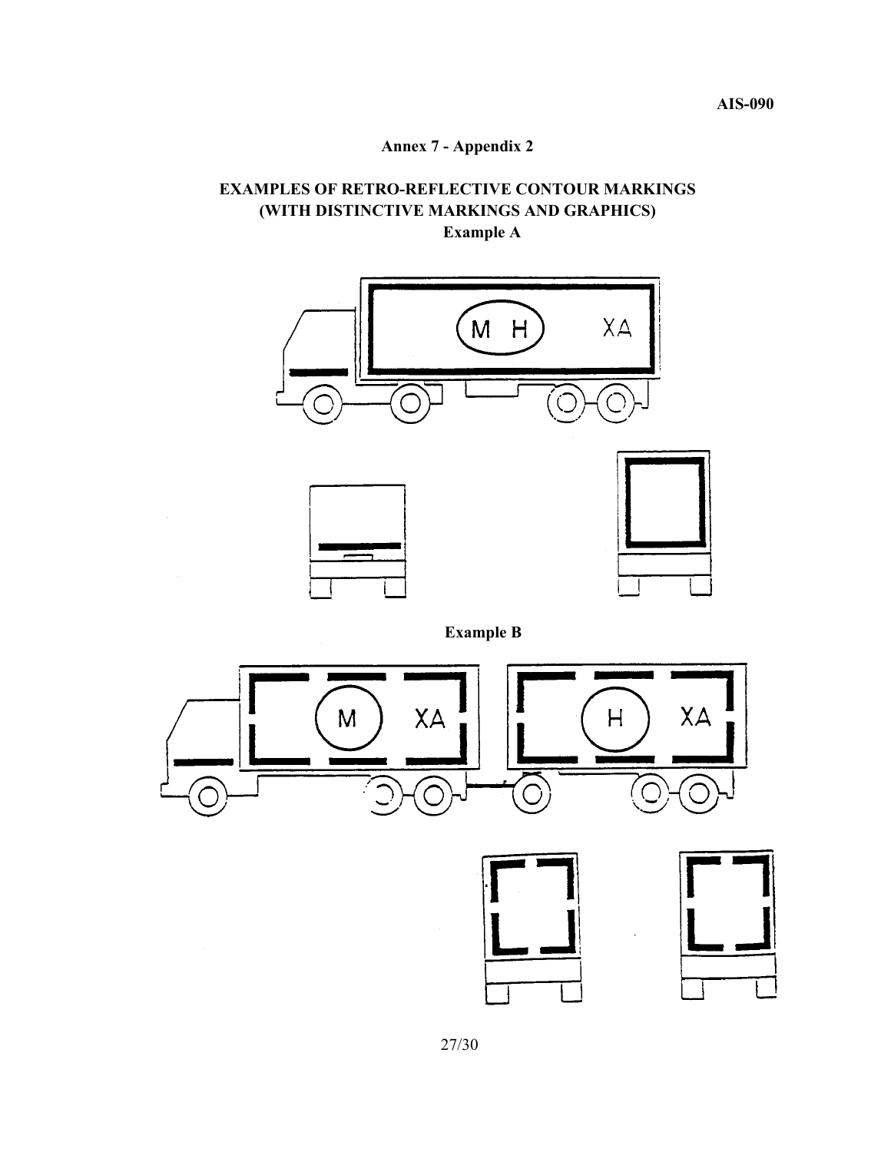**Annex 7 - Appendix 2** 

# **EXAMPLES OF RETRO-REFLECTIVE CONTOUR MARKINGS (WITH DISTINCTIVE MARKINGS AND GRAPHICS) Example A**



**Example B** 





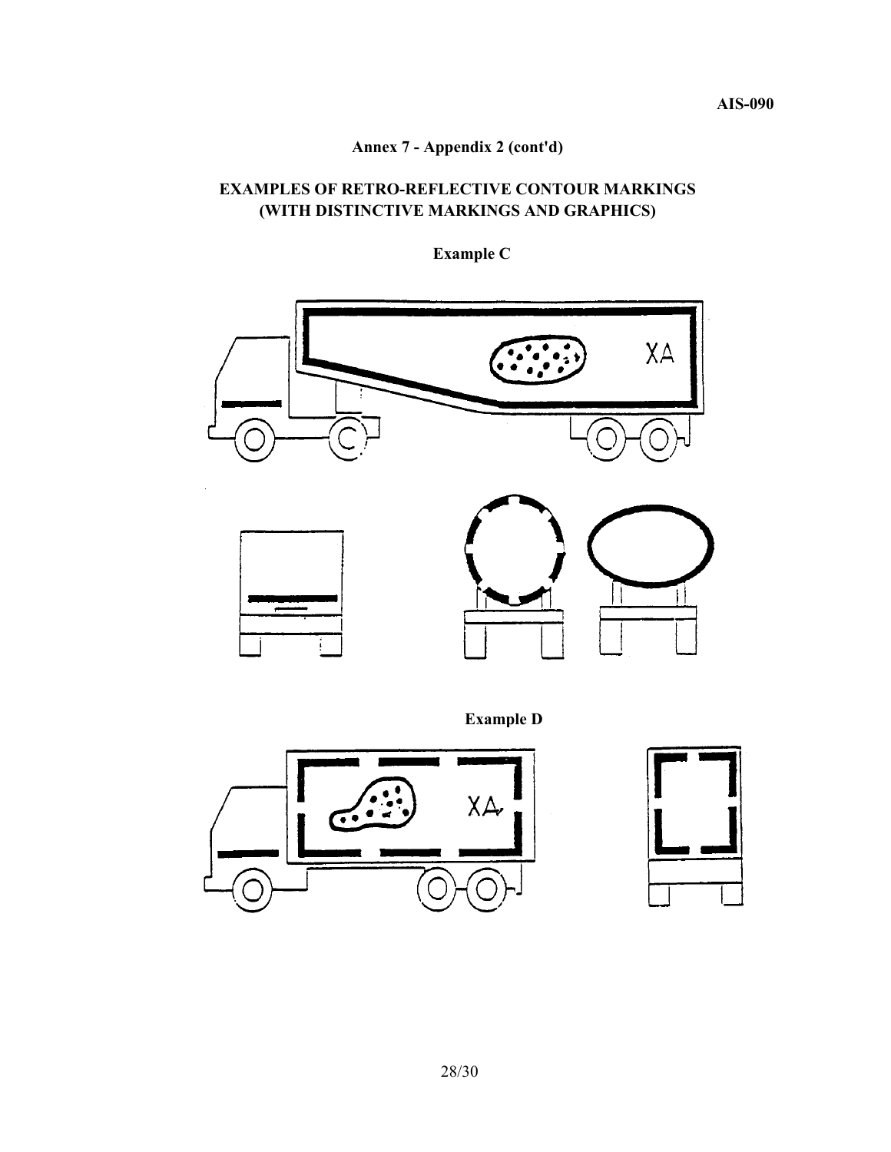# **Annex 7 - Appendix 2 (cont'd)**

## **EXAMPLES OF RETRO-REFLECTIVE CONTOUR MARKINGS (WITH DISTINCTIVE MARKINGS AND GRAPHICS)**



 **Example C** 

**Example D**



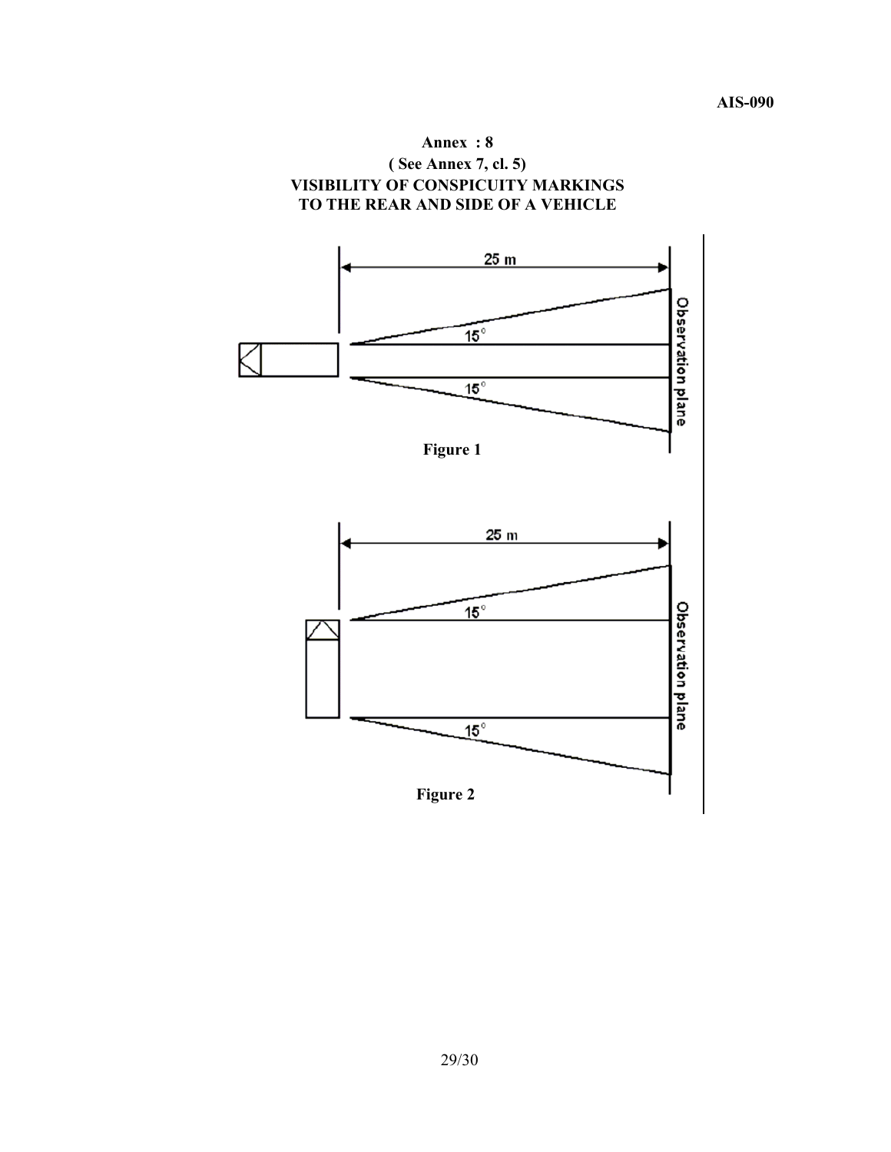

29/30